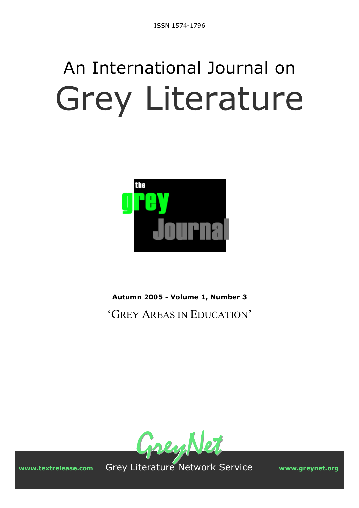# An International Journal on Grey Literature



**Autumn 2005 - Volume 1, Number 3**  'GREY AREAS IN EDUCATION'



**www.textrelease.com** Grey Literature Network Service **www.greynet.org**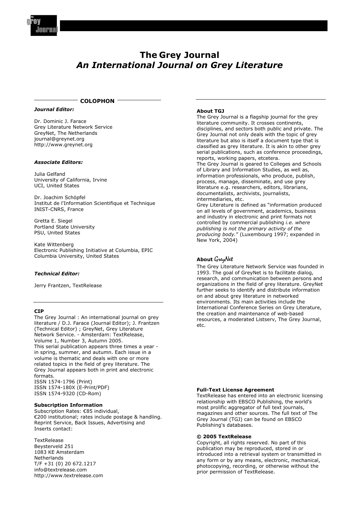

#### **The Grey Journal**  *An International Journal on Grey Literature*

#### **COLOPHON**

#### *Journal Editor:*

Dr. Dominic J. Farace Grey Literature Network Service GreyNet, The Netherlands journal@greynet.org http://www.greynet.org

#### *Associate Editors:*

Julia Gelfand University of California, Irvine UCI, United States

Dr. Joachim Schöpfel Institut de l'Information Scientifique et Technique INIST-CNRS, France

Gretta E. Siegel Portland State University PSU, United States

Kate Wittenberg Electronic Publishing Initiative at Columbia, EPIC Columbia University, United States

#### *Technical Editor:*

Jerry Frantzen, TextRelease

#### **CIP**

The Grey Journal : An international journal on grey literature / D.J. Farace (Journal Editor); J. Frantzen (Technical Editor) ; GreyNet, Grey Literature Network Service. - Amsterdam: TextRelease, Volume 1, Number 3, Autumn 2005. This serial publication appears three times a year in spring, summer, and autumn. Each issue in a volume is thematic and deals with one or more related topics in the field of grey literature. The Grey Journal appears both in print and electronic formats.

ISSN 1574-1796 (Print) ISSN 1574-180X (E-Print/PDF) ISSN 1574-9320 (CD-Rom)

#### **Subscription Information**

Subscription Rates: €85 individual, €200 institutional; rates include postage & handling. Reprint Service, Back Issues, Advertising and Inserts contact:

**TextRelease** Beysterveld 251 1083 KE Amsterdam Netherlands T/F +31 (0) 20 672.1217 info@textrelease.com http://www.textrelease.com

#### **About TGJ**

The Grey Journal is a flagship journal for the grey literature community. It crosses continents, disciplines, and sectors both public and private. The Grey Journal not only deals with the topic of grey literature but also is itself a document type that is classified as grey literature. It is akin to other grey serial publications, such as conference proceedings, reports, working papers, etcetera. The Grey Journal is geared to Colleges and Schools of Library and Information Studies, as well as, information professionals, who produce, publish, process, manage, disseminate, and use grey literature e.g. researchers, editors, librarians, documentalists, archivists, journalists, intermediaries, etc. Grey Literature is defined as "information produced on all levels of government, academics, business and industry in electronic and print formats not controlled by commercial publishing *i.e. where publishing is not the primary activity of the* 

*producing body.*" (Luxembourg 1997; expanded in New York, 2004)

#### **About** GreyNet

The Grey Literature Network Service was founded in 1993. The goal of GreyNet is to facilitate dialog, research, and communication between persons and organizations in the field of grey literature. GreyNet further seeks to identify and distribute information on and about grey literature in networked environments. Its main activities include the International Conference Series on Grey Literature, the creation and maintenance of web-based resources, a moderated Listserv, The Grey Journal, etc.

#### **Full-Text License Agreement**

TextRelease has entered into an electronic licensing relationship with EBSCO Publishing, the world's most prolific aggregator of full text journals, magazines and other sources. The full text of The Grey Journal (TGJ) can be found on EBSCO Publishing's databases.

#### **© 2005 TextRelease**

Copyright, all rights reserved. No part of this publication may be reproduced, stored in or introduced into a retrieval system or transmitted in any form or by any means, electronic, mechanical, photocopying, recording, or otherwise without the prior permission of TextRelease.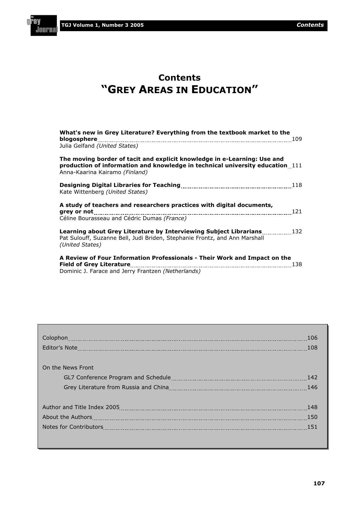'AV

**Journa** 

#### **Contents "GREY AREAS IN EDUCATION"**

| What's new in Grey Literature? Everything from the textbook market to the<br>blogosphere<br>Julia Gelfand (United States)                                                                   |  |
|---------------------------------------------------------------------------------------------------------------------------------------------------------------------------------------------|--|
| The moving border of tacit and explicit knowledge in e-Learning: Use and<br>production of information and knowledge in technical university education 111<br>Anna-Kaarina Kairamo (Finland) |  |
| Kate Wittenberg (United States)                                                                                                                                                             |  |
| A study of teachers and researchers practices with digital documents,<br>121<br>Céline Bourasseau and Cédric Dumas (France)                                                                 |  |
| Learning about Grey Literature by Interviewing Subject Librarians [132]<br>Pat Sulouff, Suzanne Bell, Judi Briden, Stephanie Frontz, and Ann Marshall<br>(United States)                    |  |
| A Review of Four Information Professionals - Their Work and Impact on the<br><b>Field of Grey Literature</b><br>138<br>Dominic J. Farace and Jerry Frantzen (Netherlands)                   |  |

|                   | 106<br>108 |
|-------------------|------------|
| On the News Front |            |
|                   | -142       |
|                   | -146       |
|                   |            |
|                   | 148        |
|                   | 150        |
|                   | 151        |
|                   |            |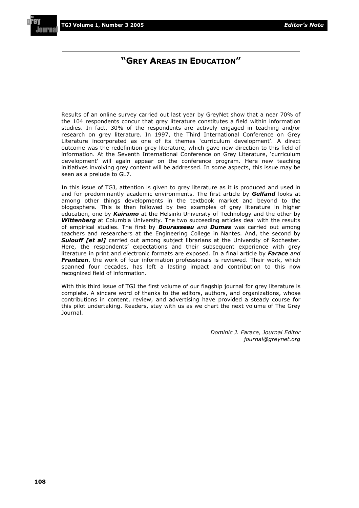#### **"GREY AREAS IN EDUCATION"**

Results of an online survey carried out last year by GreyNet show that a near 70% of the 104 respondents concur that grey literature constitutes a field within information studies. In fact, 30% of the respondents are actively engaged in teaching and/or research on grey literature. In 1997, the Third International Conference on Grey Literature incorporated as one of its themes 'curriculum development'. A direct outcome was the redefinition grey literature, which gave new direction to this field of information. At the Seventh International Conference on Grey Literature, 'curriculum development' will again appear on the conference program. Here new teaching initiatives involving grey content will be addressed. In some aspects, this issue may be seen as a prelude to GL7.

In this issue of TGJ, attention is given to grey literature as it is produced and used in and for predominantly academic environments. The first article by *Gelfand* looks at among other things developments in the textbook market and beyond to the blogosphere. This is then followed by two examples of grey literature in higher education, one by *Kairamo* at the Helsinki University of Technology and the other by *Wittenberg* at Columbia University. The two succeeding articles deal with the results of empirical studies. The first by *Bourasseau and Dumas* was carried out among teachers and researchers at the Engineering College in Nantes. And, the second by **Sulouff [et al]** carried out among subject librarians at the University of Rochester. Here, the respondents' expectations and their subsequent experience with grey literature in print and electronic formats are exposed. In a final article by *Farace and Frantzen*, the work of four information professionals is reviewed. Their work, which spanned four decades, has left a lasting impact and contribution to this now recognized field of information.

With this third issue of TGJ the first volume of our flagship journal for grey literature is complete. A sincere word of thanks to the editors, authors, and organizations, whose contributions in content, review, and advertising have provided a steady course for this pilot undertaking. Readers, stay with us as we chart the next volume of The Grey Journal.

> *Dominic J. Farace, Journal Editor journal@greynet.org*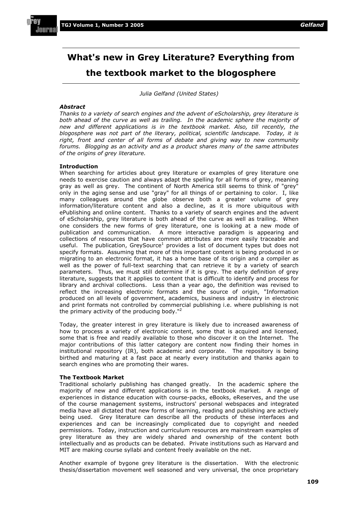

#### **What's new in Grey Literature? Everything from the textbook market to the blogosphere**

*Julia Gelfand (United States)* 

#### *Abstract*

*Thanks to a variety of search engines and the advent of eScholarship, grey literature is both ahead of the curve as well as trailing. In the academic sphere the majority of new and different applications is in the textbook market. Also, till recently, the blogosphere was not part of the literary, political, scientific landscape. Today, it is*  right, front and center of all forms of debate and giving way to new community *forums. Blogging as an activity and as a product shares many of the same attributes of the origins of grey literature.* 

#### **Introduction**

When searching for articles about grey literature or examples of grey literature one needs to exercise caution and always adapt the spelling for all forms of grey, meaning gray as well as grey. The continent of North America still seems to think of "grey" only in the aging sense and use "gray" for all things of or pertaining to color. I, like many colleagues around the globe observe both a greater volume of grey information/literature content and also a decline, as it is more ubiquitous with ePublishing and online content. Thanks to a variety of search engines and the advent of eScholarship, grey literature is both ahead of the curve as well as trailing. When one considers the new forms of grey literature, one is looking at a new mode of publication and communication. A more interactive paradigm is appearing and collections of resources that have common attributes are more easily traceable and useful. The publication, GreySource<sup>1</sup> provides a list of document types but does not specify formats. Assuming that more of this important content is being produced in or migrating to an electronic format, it has a home base of its origin and a compiler as well as the power of full-text searching that can retrieve it by a variety of search parameters. Thus, we must still determine if it is grey. The early definition of grey literature, suggests that it applies to content that is difficult to identify and process for library and archival collections. Less than a year ago, the definition was revised to reflect the increasing electronic formats and the source of origin, "Information produced on all levels of government, academics, business and industry in electronic and print formats not controlled by commercial publishing i.e. where publishing is not the primary activity of the producing body."<sup>2</sup>

Today, the greater interest in grey literature is likely due to increased awareness of how to process a variety of electronic content, some that is acquired and licensed, some that is free and readily available to those who discover it on the Internet. The major contributions of this latter category are content now finding their homes in institutional repository (IR), both academic and corporate. The repository is being birthed and maturing at a fast pace at nearly every institution and thanks again to search engines who are promoting their wares.

#### **The Textbook Market**

Traditional scholarly publishing has changed greatly. In the academic sphere the majority of new and different applications is in the textbook market. A range of experiences in distance education with course-packs, eBooks, eReserves, and the use of the course management systems, instructors' personal webspaces and integrated media have all dictated that new forms of learning, reading and publishing are actively being used. Grey literature can describe all the products of these interfaces and experiences and can be increasingly complicated due to copyright and needed permissions. Today, instruction and curriculum resources are mainstream examples of grey literature as they are widely shared and ownership of the content both intellectually and as products can be debated. Private institutions such as Harvard and MIT are making course syllabi and content freely available on the net.

Another example of bygone grey literature is the dissertation. With the electronic thesis/dissertation movement well seasoned and very universal, the once proprietary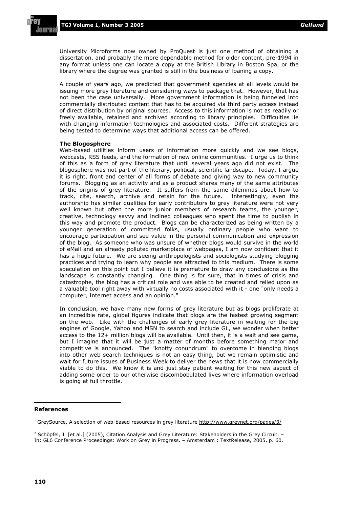University Microforms now owned by ProQuest is just one method of obtaining a dissertation, and probably the more dependable method for older content, pre-1994 in any format unless one can locate a copy at the British Library in Boston Spa, or the library where the degree was granted is still in the business of loaning a copy.

A couple of years ago, we predicted that government agencies at all levels would be issuing more grey literature and considering ways to package that. However, that has not been the case universally. More government information is being funneled into commercially distributed content that has to be acquired via third party access instead of direct distribution by original sources. Access to this information is not as readily or freely available, retained and archived according to library principles. Difficulties lie with changing information technologies and associated costs. Different strategies are being tested to determine ways that additional access can be offered.

#### **The Blogosphere**

Web-based utilities inform users of information more quickly and we see blogs, webcasts, RSS feeds, and the formation of new online communities. I urge us to think of this as a form of grey literature that until several years ago did not exist. The blogosphere was not part of the literary, political, scientific landscape. Today, I argue it is right, front and center of all forms of debate and giving way to new community forums. Blogging as an activity and as a product shares many of the same attributes of the origins of grey literature. It suffers from the same dilemmas about how to track, cite, search, archive and retain for the future. Interestingly, even the authorship has similar qualities for early contributors to grey literature were not very well known but often the more junior members of research teams, the younger, creative, technology savvy and inclined colleagues who spent the time to publish in this way and promote the product. Blogs can be characterized as being written by a younger generation of committed folks, usually ordinary people who want to encourage participation and see value in the personal communication and expression of the blog. As someone who was unsure of whether blogs would survive in the world of eMail and an already polluted marketplace of webpages, I am now confident that it has a huge future. We are seeing anthropologists and sociologists studying blogging practices and trying to learn why people are attracted to this medium. There is some speculation on this point but I believe it is premature to draw any conclusions as the landscape is constantly changing. One thing is for sure, that in times of crisis and catastrophe, the blog has a critical role and was able to be created and relied upon as a valuable tool right away with virtually no costs associated with it - one "only needs a computer, Internet access and an opinion."

In conclusion, we have many new forms of grey literature but as blogs proliferate at an incredible rate, global figures indicate that blogs are the fastest growing segment on the web. Like with the challenges of early grey literature in waiting for the big engines of Google, Yahoo and MSN to search and include GL, we wonder when better access to the 12+ million blogs will be available. Until then, it is a wait and see game, but I imagine that it will be just a matter of months before something major and competitive is announced. The "knotty conundrum" to overcome in blending blogs into other web search techniques is not an easy thing, but we remain optimistic and wait for future issues of Business Week to deliver the news that it is now commercially viable to do this. We know it is and just stay patient waiting for this new aspect of adding some order to our otherwise discombobulated lives where information overload is going at full throttle.

#### **References**

<sup>&</sup>lt;sup>1</sup> GreySource, A selection of web-based resources in grey literature http://www.greynet.org/pages/3/

<sup>&</sup>lt;sup>2</sup> Schöpfel, J. [et al.] (2005), Citation Analysis and Grey Literature: Stakeholders in the Grey Circuit. – In: GL6 Conference Proceedings: Work on Grey in Progress. – Amsterdam : TextRelease, 2005, p. 60.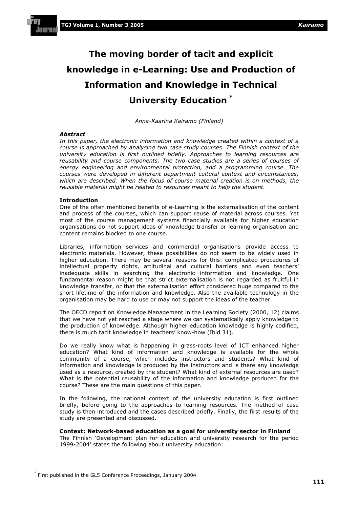# **The moving border of tacit and explicit knowledge in e-Learning: Use and Production of Information and Knowledge in Technical University Education \***

*Anna-Kaarina Kairamo (Finland)* 

#### *Abstract*

*In this paper, the electronic information and knowledge created within a context of a course is approached by analysing two case study courses. The Finnish context of the university education is first outlined briefly. Approaches to learning resources are*  reusability and course components. The two case studies are a series of courses of *energy engineering and environmental protection, and a programming course. The courses were developed in different department cultural context and circumstances, which are described. When the focus of course material creation is on methods, the reusable material might be related to resources meant to help the student.* 

#### **Introduction**

One of the often mentioned benefits of e-Learning is the externalisation of the content and process of the courses, which can support reuse of material across courses. Yet most of the course management systems financially available for higher education organisations do not support ideas of knowledge transfer or learning organisation and content remains blocked to one course.

Libraries, information services and commercial organisations provide access to electronic materials. However, these possibilities do not seem to be widely used in higher education. There may be several reasons for this: complicated procedures of intellectual property rights, attitudinal and cultural barriers and even teachers' inadequate skills in searching the electronic information and knowledge. One fundamental reason might be that strict externalisation is not regarded as fruitful in knowledge transfer, or that the externalisation effort considered huge compared to the short lifetime of the information and knowledge. Also the available technology in the organisation may be hard to use or may not support the ideas of the teacher.

The OECD report on Knowledge Management in the Learning Society (2000, 12) claims that we have not yet reached a stage where we can systematically apply knowledge to the production of knowledge. Although higher education knowledge is highly codified, there is much tacit knowledge in teachers' know-how (Ibid 31).

Do we really know what is happening in grass-roots level of ICT enhanced higher education? What kind of information and knowledge is available for the whole community of a course, which includes instructors and students? What kind of information and knowledge is produced by the instructors and is there any knowledge used as a resource, created by the student? What kind of external resources are used? What is the potential reusability of the information and knowledge produced for the course? These are the main questions of this paper.

In the following, the national context of the university education is first outlined briefly, before going to the approaches to learning resources. The method of case study is then introduced and the cases described briefly. Finally, the first results of the study are presented and discussed.

#### **Context: Network-based education as a goal for university sector in Finland**

The Finnish 'Development plan for education and university research for the period 1999-2004' states the following about university education:

<sup>\*</sup> First published in the GL5 Conference Proceedings, January 2004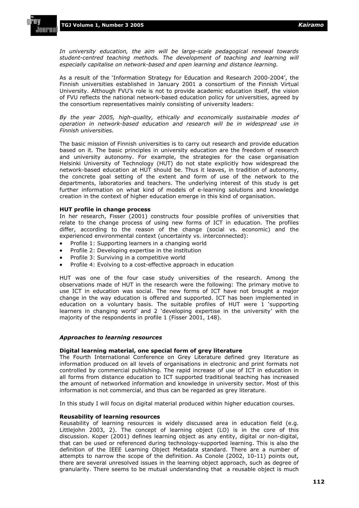*In university education, the aim will be large-scale pedagogical renewal towards student-centred teaching methods. The development of teaching and learning will especially capitalise on network-based and open learning and distance learning.* 

As a result of the 'Information Strategy for Education and Research 2000-2004', the Finnish universities established in January 2001 a consortium of the Finnish Virtual University. Although FVU's role is not to provide academic education itself, the vision of FVU reflects the national network-based education policy for universities, agreed by the consortium representatives mainly consisting of university leaders:

*By the year 2005, high-quality, ethically and economically sustainable modes of operation in network-based education and research will be in widespread use in Finnish universities.*

The basic mission of Finnish universities is to carry out research and provide education based on it. The basic principles in university education are the freedom of research and university autonomy. For example, the strategies for the case organisation Helsinki University of Technology (HUT) do not state explicitly how widespread the network-based education at HUT should be. Thus it leaves, in tradition of autonomy, the concrete goal setting of the extent and form of use of the network to the departments, laboratories and teachers. The underlying interest of this study is get further information on what kind of models of e-learning solutions and knowledge creation in the context of higher education emerge in this kind of organisation.

#### **HUT profile in change process**

In her research, Fisser (2001) constructs four possible profiles of universities that relate to the change process of using new forms of ICT in education. The profiles differ, according to the reason of the change (social vs. economic) and the experienced environmental context (uncertainty vs. interconnected):

- Profile 1: Supporting learners in a changing world
- Profile 2: Developing expertise in the institution
- Profile 3: Surviving in a competitive world
- Profile 4: Evolving to a cost-effective approach in education

HUT was one of the four case study universities of the research. Among the observations made of HUT in the research were the following: The primary motive to use ICT in education was social. The new forms of ICT have not brought a major change in the way education is offered and supported. ICT has been implemented in education on a voluntary basis. The suitable profiles of HUT were 1 'supporting learners in changing world' and 2 'developing expertise in the university' with the majority of the respondents in profile 1 (Fisser 2001, 148).

#### *Approaches to learning resources*

#### **Digital learning material, one special form of grey literature**

The Fourth International Conference on Grey Literature defined grey literature as information produced on all levels of organisations in electronic and print formats not controlled by commercial publishing. The rapid increase of use of ICT in education in all forms from distance education to ICT supported traditional teaching has increased the amount of networked information and knowledge in university sector. Most of this information is not commercial, and thus can be regarded as grey literature.

In this study I will focus on digital material produced within higher education courses.

#### **Reusability of learning resources**

Reusability of learning resources is widely discussed area in education field (e.g. Littlejohn 2003, 2). The concept of learning object (LO) is in the core of this discussion. Koper (2001) defines learning object as any entity, digital or non-digital, that can be used or referenced during technology-supported learning. This is also the definition of the IEEE Learning Object Metadata standard. There are a number of attempts to narrow the scope of the definition. As Conole (2002, 10-11) points out, there are several unresolved issues in the learning object approach, such as degree of granularity. There seems to be mutual understanding that a reusable object is much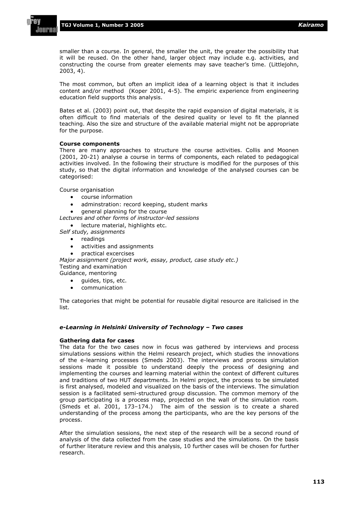smaller than a course. In general, the smaller the unit, the greater the possibility that it will be reused. On the other hand, larger object may include e.g. activities, and constructing the course from greater elements may save teacher's time. (Littlejohn, 2003, 4).

The most common, but often an implicit idea of a learning object is that it includes content and/or method (Koper 2001, 4-5). The empiric experience from engineering education field supports this analysis.

Bates et al. (2003) point out, that despite the rapid expansion of digital materials, it is often difficult to find materials of the desired quality or level to fit the planned teaching. Also the size and structure of the available material might not be appropriate for the purpose.

#### **Course components**

There are many approaches to structure the course activities. Collis and Moonen (2001, 20-21) analyse a course in terms of components, each related to pedagogical activities involved. In the following their structure is modified for the purposes of this study, so that the digital information and knowledge of the analysed courses can be categorised:

Course organisation

- course information
- adminstration: record keeping, student marks
- general planning for the course

*Lectures and other forms of instructor-led sessions* 

- lecture material, highlights etc.
- *Self study, assignments* 
	- $\bullet$  readings
	- activities and assignments
	- practical excercises

*Major assignment (project work, essay, product, case study etc.)*  Testing and examination Guidance, mentoring

- - guides, tips, etc.
	- communication

The categories that might be potential for reusable digital resource are italicised in the list.

#### *e-Learning in Helsinki University of Technology – Two cases*

#### **Gathering data for cases**

The data for the two cases now in focus was gathered by interviews and process simulations sessions within the Helmi research project, which studies the innovations of the e-learning processes (Smeds 2003). The interviews and process simulation sessions made it possible to understand deeply the process of designing and implementing the courses and learning material within the context of different cultures and traditions of two HUT departments. In Helmi project, the process to be simulated is first analysed, modeled and visualized on the basis of the interviews. The simulation session is a facilitated semi-structured group discussion. The common memory of the group participating is a process map, projected on the wall of the simulation room. (Smeds et al. 2001, 173–174.) The aim of the session is to create a shared understanding of the process among the participants, who are the key persons of the process.

After the simulation sessions, the next step of the research will be a second round of analysis of the data collected from the case studies and the simulations. On the basis of further literature review and this analysis, 10 further cases will be chosen for further research.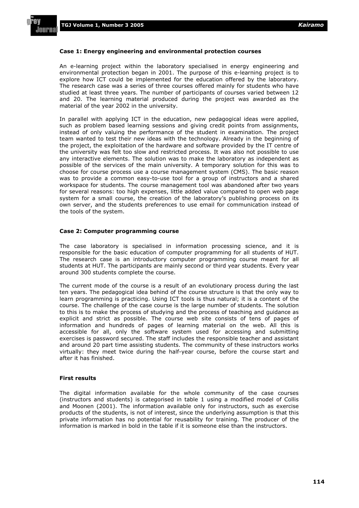l all Pi

#### **Case 1: Energy engineering and environmental protection courses**

An e-learning project within the laboratory specialised in energy engineering and environmental protection began in 2001. The purpose of this e-learning project is to explore how ICT could be implemented for the education offered by the laboratory. The research case was a series of three courses offered mainly for students who have studied at least three years. The number of participants of courses varied between 12 and 20. The learning material produced during the project was awarded as the material of the year 2002 in the university.

In parallel with applying ICT in the education, new pedagogical ideas were applied, such as problem based learning sessions and giving credit points from assignments, instead of only valuing the performance of the student in examination. The project team wanted to test their new ideas with the technology. Already in the beginning of the project, the exploitation of the hardware and software provided by the IT centre of the university was felt too slow and restricted process. It was also not possible to use any interactive elements. The solution was to make the laboratory as independent as possible of the services of the main university. A temporary solution for this was to choose for course process use a course management system (CMS). The basic reason was to provide a common easy-to-use tool for a group of instructors and a shared workspace for students. The course management tool was abandoned after two years for several reasons: too high expenses, little added value compared to open web page system for a small course, the creation of the laboratory's publishing process on its own server, and the students preferences to use email for communication instead of the tools of the system.

#### **Case 2: Computer programming course**

The case laboratory is specialised in information processing science, and it is responsible for the basic education of computer programming for all students of HUT. The research case is an introductory computer programming course meant for all students at HUT. The participants are mainly second or third year students. Every year around 300 students complete the course.

The current mode of the course is a result of an evolutionary process during the last ten years. The pedagogical idea behind of the course structure is that the only way to learn programming is practicing. Using ICT tools is thus natural; it is a content of the course. The challenge of the case course is the large number of students. The solution to this is to make the process of studying and the process of teaching and guidance as explicit and strict as possible. The course web site consists of tens of pages of information and hundreds of pages of learning material on the web. All this is accessible for all, only the software system used for accessing and submitting exercises is password secured. The staff includes the responsible teacher and assistant and around 20 part time assisting students. The community of these instructors works virtually: they meet twice during the half-year course, before the course start and after it has finished.

#### **First results**

The digital information available for the whole community of the case courses (instructors and students) is categorised in table 1 using a modified model of Collis and Moonen (2001). The information available only for instructors, such as exercise products of the students, is not of interest, since the underlying assumption is that this private information has no potential for reusability for training. The producer of the information is marked in bold in the table if it is someone else than the instructors.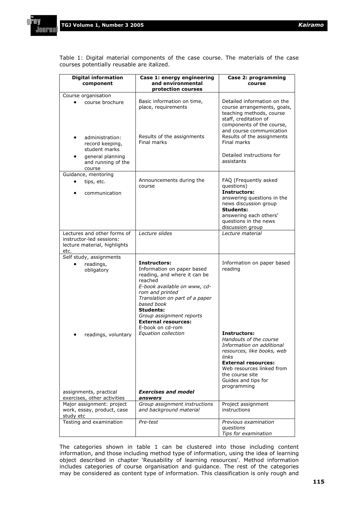Journ

Table 1: Digital material components of the case course. The materials of the case courses potentially reusable are italized.

| <b>Digital information</b><br>component                                                | Case 1: energy engineering<br>and environmental<br>protection courses                                                                                                                                                                                                                                             | Case 2: programming<br>course                                                                                                                                                                                         |
|----------------------------------------------------------------------------------------|-------------------------------------------------------------------------------------------------------------------------------------------------------------------------------------------------------------------------------------------------------------------------------------------------------------------|-----------------------------------------------------------------------------------------------------------------------------------------------------------------------------------------------------------------------|
| Course organisation                                                                    |                                                                                                                                                                                                                                                                                                                   |                                                                                                                                                                                                                       |
| course brochure                                                                        | Basic information on time,<br>place, requirements                                                                                                                                                                                                                                                                 | Detailed information on the<br>course arrangements, goals,<br>teaching methods, course<br>staff, creditation of<br>components of the course,<br>and course communication<br>Results of the assignments                |
| administration:<br>record keeping,<br>student marks<br>general planning                | Results of the assignments<br>Final marks                                                                                                                                                                                                                                                                         | Final marks<br>Detailed instructions for                                                                                                                                                                              |
| and running of the<br>course                                                           |                                                                                                                                                                                                                                                                                                                   | assistants                                                                                                                                                                                                            |
| Guidance, mentoring<br>tips, etc.<br>communication                                     | Announcements during the<br>course                                                                                                                                                                                                                                                                                | FAQ (Frequently asked<br>questions)<br><b>Instructors:</b><br>answering questions in the<br>news discussion group<br><b>Students:</b><br>answering each others'<br>questions in the news<br>discussion group          |
| Lectures and other forms of                                                            | Lecture slides                                                                                                                                                                                                                                                                                                    | Lecture material                                                                                                                                                                                                      |
| instructor-led sessions:<br>lecture material, highlights<br>etc.                       |                                                                                                                                                                                                                                                                                                                   |                                                                                                                                                                                                                       |
| Self study, assignments                                                                |                                                                                                                                                                                                                                                                                                                   |                                                                                                                                                                                                                       |
| readings,<br>obligatory<br>readings, voluntary                                         | Instructors:<br>Information on paper based<br>reading, and where it can be<br>reached<br>E-book available on www, cd-<br>rom and printed<br>Translation on part of a paper<br>based book<br><b>Students:</b><br>Group assignment reports<br><b>External resources:</b><br>E-book on cd-rom<br>Equation collection | Information on paper based<br>reading<br><b>Instructors:</b><br>Handouts of the course<br>Information on additional<br>resources, like books, web<br>links<br><b>External resources:</b><br>Web resources linked from |
| assignments, practical                                                                 | <b>Exercises and model</b><br>answers                                                                                                                                                                                                                                                                             | the course site<br>Guides and tips for<br>programming                                                                                                                                                                 |
| exercises, other activities<br>Major assignment: project<br>work, essay, product, case | Group assignment instructions<br>and background material                                                                                                                                                                                                                                                          | Project assignment<br>instructions                                                                                                                                                                                    |
| study etc<br>Testing and examination                                                   | Pre-test                                                                                                                                                                                                                                                                                                          | Previous examination<br>questions<br>Tips for examination                                                                                                                                                             |

The categories shown in table 1 can be clustered into those including content information, and those including method type of information, using the idea of learning object described in chapter 'Reusability of learning resources'. Method information includes categories of course organisation and guidance. The rest of the categories may be considered as content type of information. This classification is only rough and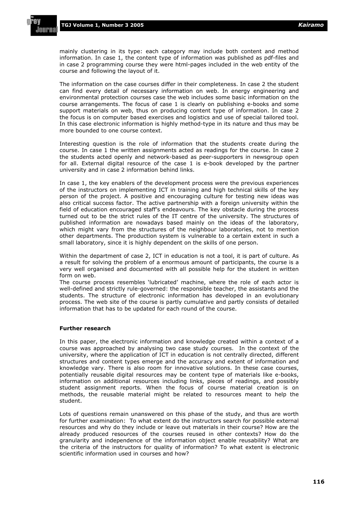mainly clustering in its type: each category may include both content and method information. In case 1, the content type of information was published as pdf-files and in case 2 programming course they were html-pages included in the web entity of the course and following the layout of it.

The information on the case courses differ in their completeness. In case 2 the student can find every detail of necessary information on web. In energy engineering and environmental protection courses case the web includes some basic information on the course arrangements. The focus of case 1 is clearly on publishing e-books and some support materials on web, thus on producing content type of information. In case 2 the focus is on computer based exercises and logistics and use of special tailored tool. In this case electronic information is highly method-type in its nature and thus may be more bounded to one course context.

Interesting question is the role of information that the students create during the course. In case 1 the written assignments acted as readings for the course. In case 2 the students acted openly and network-based as peer-supporters in newsgroup open for all. External digital resource of the case 1 is e-book developed by the partner university and in case 2 information behind links.

In case 1, the key enablers of the development process were the previous experiences of the instructors on implementing ICT in training and high technical skills of the key person of the project. A positive and encouraging culture for testing new ideas was also critical success factor. The active partnership with a foreign university within the field of education encouraged staff's endeavours. The key obstacle during the process turned out to be the strict rules of the IT centre of the university. The structures of published information are nowadays based mainly on the ideas of the laboratory, which might vary from the structures of the neighbour laboratories, not to mention other departments. The production system is vulnerable to a certain extent in such a small laboratory, since it is highly dependent on the skills of one person.

Within the department of case 2, ICT in education is not a tool, it is part of culture. As a result for solving the problem of a enormous amount of participants, the course is a very well organised and documented with all possible help for the student in written form on web.

The course process resembles 'lubricated' machine, where the role of each actor is well-defined and strictly rule-governed: the responsible teacher, the assistants and the students. The structure of electronic information has developed in an evolutionary process. The web site of the course is partly cumulative and partly consists of detailed information that has to be updated for each round of the course.

#### **Further research**

In this paper, the electronic information and knowledge created within a context of a course was approached by analysing two case study courses. In the context of the university, where the application of ICT in education is not centrally directed, different structures and content types emerge and the accuracy and extent of information and knowledge vary. There is also room for innovative solutions. In these case courses, potentially reusable digital resources may be content type of materials like e-books, information on additional resources including links, pieces of readings, and possibly student assignment reports. When the focus of course material creation is on methods, the reusable material might be related to resources meant to help the student.

Lots of questions remain unanswered on this phase of the study, and thus are worth for further examination: To what extent do the instructors search for possible external resources and why do they include or leave out materials in their course? How are the already produced resources of the courses reused in other contexts? How do the granularity and independence of the information object enable reusability? What are the criteria of the instructors for quality of information? To what extent is electronic scientific information used in courses and how?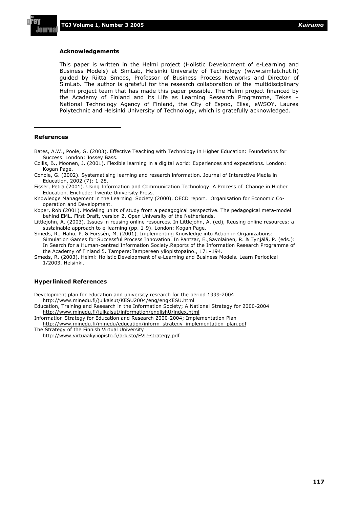#### **Acknowledgements**

This paper is written in the Helmi project (Holistic Development of e-Learning and Business Models) at SimLab, Helsinki University of Technology (www.simlab.hut.fi) guided by Riitta Smeds, Professor of Business Process Networks and Director of SimLab. The author is grateful for the research collaboration of the multidisciplinary Helmi project team that has made this paper possible. The Helmi project financed by the Academy of Finland and its Life as Learning Research Programme, Tekes – National Technology Agency of Finland, the City of Espoo, Elisa, eWSOY, Laurea Polytechnic and Helsinki University of Technology, which is gratefully acknowledged.

#### **References**

- Bates, A.W., Poole, G. (2003). Effective Teaching with Technology in Higher Education: Foundations for Success. London: Jossey Bass.
- Collis, B., Moonen, J. (2001). Flexible learning in a digital world: Experiences and expecations. London: Kogan Page.
- Conole, G. (2002). Systematising learning and research information. Journal of Interactive Media in Education, 2002 (7): 1-28.
- Fisser, Petra (2001). Using Information and Communication Technology. A Process of Change in Higher Education. Enchede: Twente University Press.
- Knowledge Management in the Learning Society (2000). OECD report. Organisation for Economic Cooperation and Development.

Koper, Rob (2001). Modeling units of study from a pedagogical perspective. The pedagogical meta-model behind EML. First Draft, version 2. Open University of the Netherlands.

Littlejohn, A. (2003). Issues in reusing online resources. In Littlejohn, A. (ed), Reusing online resources: a sustainable approach to e-learning (pp. 1-9). London: Kogan Page.

Smeds, R., Haho, P. & Forssén, M. (2001). Implementing Knowledge into Action in Organizations: Simulation Games for Successful Process Innovation. In Pantzar, E.,Savolainen, R. & Tynjälä, P. (eds.): In Search for a Human-centred Information Society.Reports of the Information Research Programme of the Academy of Finland 5. Tampere:Tampereen yliopistopaino., 171–194.

Smeds, R. (2003). Helmi: Holistic Development of e-Learning and Business Models. Learn Periodical 1/2003. Helsinki.

#### **Hyperlinked References**

Development plan for education and university research for the period 1999-2004 http://www.minedu.fi/julkaisut/KESU2004/eng/engKESU.html

Education, Training and Research in the Information Society; A National Strategy for 2000-2004 http://www.minedu.fi/julkaisut/information/englishU/index.html

Information Strategy for Education and Research 2000-2004; Implementation Plan http://www.minedu.fi/minedu/education/inform\_strategy\_implementation\_plan.pdf

The Strategy of the Finnish Virtual University

http://www.virtuaaliyliopisto.fi/arkisto/FVU-strategy.pdf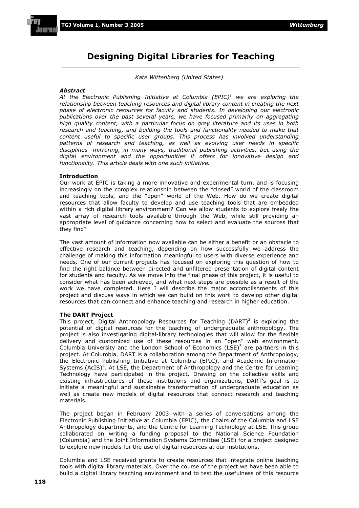#### **Designing Digital Libraries for Teaching**

*Kate Wittenberg (United States)* 

#### *Abstract*

*At the Electronic Publishing Initiative at Columbia (EPIC)1 we are exploring the relationship between teaching resources and digital library content in creating the next phase of electronic resources for faculty and students. In developing our electronic publications over the past several years, we have focused primarily on aggregating high quality content, with a particular focus on grey literature and its uses in both research and teaching, and building the tools and functionality needed to make that content useful to specific user groups. This process has involved understanding patterns of research and teaching, as well as evolving user needs in specific disciplines—mirroring, in many ways, traditional publishing activities, but using the digital environment and the opportunities it offers for innovative design and functionality. This article deals with one such initiative.* 

#### **Introduction**

Our work at EPIC is taking a more innovative and experimental turn, and is focusing increasingly on the complex relationship between the "closed" world of the classroom and teaching tools, and the "open" world of the Web. How do we create digital resources that allow faculty to develop and use teaching tools that are embedded within a rich digital library environment? Can we allow students to explore freely the vast array of research tools available through the Web, while still providing an appropriate level of guidance concerning how to select and evaluate the sources that they find?

The vast amount of information now available can be either a benefit or an obstacle to effective research and teaching, depending on how successfully we address the challenge of making this information meaningful to users with diverse experience and needs. One of our current projects has focused on exploring this question of how to find the right balance between directed and unfiltered presentation of digital content for students and faculty. As we move into the final phase of this project, it is useful to consider what has been achieved, and what next steps are possible as a result of the work we have completed. Here I will describe the major accomplishments of this project and discuss ways in which we can build on this work to develop other digital resources that can connect and enhance teaching and research in higher education.

#### **The DART Project**

This project, Digital Anthropology Resources for Teaching (DART)<sup>2</sup> is exploring the potential of digital resources for the teaching of undergraduate anthropology. The project is also investigating digital-library technologies that will allow for the flexible delivery and customized use of these resources in an "open" web environment. Columbia University and the London School of Economics (LSE) $3$  are partners in this project. At Columbia, DART is a collaboration among the Department of Anthropology, the Electronic Publishing Initiative at Columbia (EPIC), and Academic Information Systems (AcIS)<sup>4</sup>. At LSE, the Department of Anthropology and the Centre for Learning Technology have participated in the project. Drawing on the collective skills and existing infrastructures of these institutions and organizations, DART's goal is to initiate a meaningful and sustainable transformation of undergraduate education as well as create new models of digital resources that connect research and teaching materials.

The project began in February 2003 with a series of conversations among the Electronic Publishing Initiative at Columbia (EPIC), the Chairs of the Columbia and LSE Anthropology departments, and the Centre for Learning Technology at LSE. This group collaborated on writing a funding proposal to the National Science Foundation (Columbia) and the Joint Information Systems Committee (LSE) for a project designed to explore new models for the use of digital resources at our institutions.

Columbia and LSE received grants to create resources that integrate online teaching tools with digital library materials. Over the course of the project we have been able to build a digital library teaching environment and to test the usefulness of this resource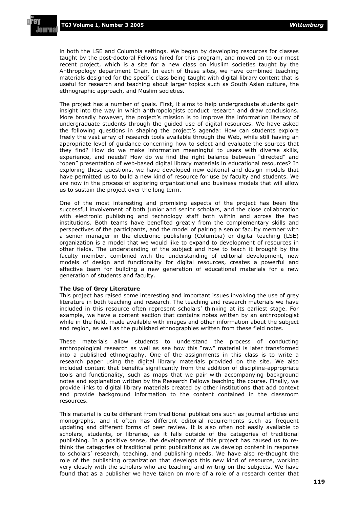**TGJ Volume 1, Number 3 2005** *Wittenberg*

in both the LSE and Columbia settings. We began by developing resources for classes taught by the post-doctoral Fellows hired for this program, and moved on to our most recent project, which is a site for a new class on Muslim societies taught by the Anthropology department Chair. In each of these sites, we have combined teaching materials designed for the specific class being taught with digital library content that is useful for research and teaching about larger topics such as South Asian culture, the ethnographic approach, and Muslim societies.

The project has a number of goals. First, it aims to help undergraduate students gain insight into the way in which anthropologists conduct research and draw conclusions. More broadly however, the project's mission is to improve the information literacy of undergraduate students through the guided use of digital resources. We have asked the following questions in shaping the project's agenda: How can students explore freely the vast array of research tools available through the Web, while still having an appropriate level of guidance concerning how to select and evaluate the sources that they find? How do we make information meaningful to users with diverse skills, experience, and needs? How do we find the right balance between "directed" and "open" presentation of web-based digital library materials in educational resources? In exploring these questions, we have developed new editorial and design models that have permitted us to build a new kind of resource for use by faculty and students. We are now in the process of exploring organizational and business models that will allow us to sustain the project over the long term.

One of the most interesting and promising aspects of the project has been the successful involvement of both junior and senior scholars, and the close collaboration with electronic publishing and technology staff both within and across the two institutions. Both teams have benefited greatly from the complementary skills and perspectives of the participants, and the model of pairing a senior faculty member with a senior manager in the electronic publishing (Columbia) or digital teaching (LSE) organization is a model that we would like to expand to development of resources in other fields. The understanding of the subject and how to teach it brought by the faculty member, combined with the understanding of editorial development, new models of design and functionality for digital resources, creates a powerful and effective team for building a new generation of educational materials for a new generation of students and faculty.

#### **The Use of Grey Literature**

This project has raised some interesting and important issues involving the use of grey literature in both teaching and research. The teaching and research materials we have included in this resource often represent scholars' thinking at its earliest stage. For example, we have a content section that contains notes written by an anthropologist while in the field, made available with images and other information about the subject and region, as well as the published ethnographies written from these field notes.

These materials allow students to understand the process of conducting anthropological research as well as see how this "raw" material is later transformed into a published ethnography. One of the assignments in this class is to write a research paper using the digital library materials provided on the site. We also included content that benefits significantly from the addition of discipline-appropriate tools and functionality, such as maps that we pair with accompanying background notes and explanation written by the Research Fellows teaching the course. Finally, we provide links to digital library materials created by other institutions that add context and provide background information to the content contained in the classroom resources.

This material is quite different from traditional publications such as journal articles and monographs, and it often has different editorial requirements such as frequent updating and different forms of peer review. It is also often not easily available to scholars, students, or libraries, as it falls outside of the categories of traditional publishing. In a positive sense, the development of this project has caused us to rethink the categories of traditional print publications as we develop content in response to scholars' research, teaching, and publishing needs. We have also re-thought the role of the publishing organization that develops this new kind of resource, working very closely with the scholars who are teaching and writing on the subjects. We have found that as a publisher we have taken on more of a role of a research center that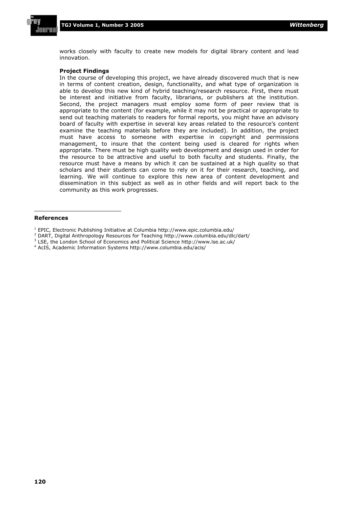

works closely with faculty to create new models for digital library content and lead innovation.

#### **Project Findings**

In the course of developing this project, we have already discovered much that is new in terms of content creation, design, functionality, and what type of organization is able to develop this new kind of hybrid teaching/research resource. First, there must be interest and initiative from faculty, librarians, or publishers at the institution. Second, the project managers must employ some form of peer review that is appropriate to the content (for example, while it may not be practical or appropriate to send out teaching materials to readers for formal reports, you might have an advisory board of faculty with expertise in several key areas related to the resource's content examine the teaching materials before they are included). In addition, the project must have access to someone with expertise in copyright and permissions management, to insure that the content being used is cleared for rights when appropriate. There must be high quality web development and design used in order for the resource to be attractive and useful to both faculty and students. Finally, the resource must have a means by which it can be sustained at a high quality so that scholars and their students can come to rely on it for their research, teaching, and learning. We will continue to explore this new area of content development and dissemination in this subject as well as in other fields and will report back to the community as this work progresses.

#### **References**

<sup>1</sup> EPIC, Electronic Publishing Initiative at Columbia http://www.epic.columbia.edu/

<sup>&</sup>lt;sup>2</sup> DART, Digital Anthropology Resources for Teaching http://www.columbia.edu/dlc/dart/

<sup>&</sup>lt;sup>3</sup> LSE, the London School of Economics and Political Science http://www.lse.ac.uk/

<sup>4</sup> AcIS, Academic Information Systems http://www.columbia.edu/acis/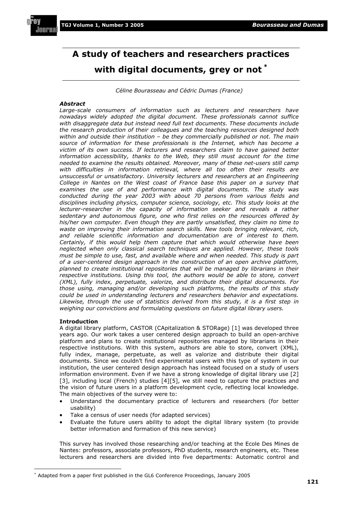

## **A study of teachers and researchers practices with digital documents, grey or not \***

*Céline Bourasseau and Cédric Dumas (France)* 

#### *Abstract*

Large-scale consumers of information such as lecturers and researchers have *nowadays widely adopted the digital document. These professionals cannot suffice with disaggregate data but instead need full text documents. These documents include the research production of their colleagues and the teaching resources designed both within and outside their institution – be they commercially published or not. The main source of information for these professionals is the Internet, which has become a victim of its own success. If lecturers and researchers claim to have gained better*  information accessibility, thanks to the Web, they still must account for the time *needed to examine the results obtained. Moreover, many of these net-users still camp*  with difficulties in information retrieval, where all too often their results are *unsuccessful or unsatisfactory. University lecturers and researchers at an Engineering College in Nantes on the West coast of France base this paper on a survey that examines the use of and performance with digital documents. The study was conducted during the year 2003 with about 70 persons from various fields and disciplines including physics, computer science, sociology, etc. This study looks at the lecturer-researcher in the capacity of information seeker and reveals a rather sedentary and autonomous figure, one who first relies on the resources offered by his/her own computer. Even though they are partly unsatisfied, they claim no time to waste on improving their information search skills. New tools bringing relevant, rich, and reliable scientific information and documentation are of interest to them. Certainly, if this would help them capture that which would otherwise have been neglected when only classical search techniques are applied. However, these tools must be simple to use, fast, and available where and when needed. This study is part of a user-centered design approach in the construction of an open archive platform, planned to create institutional repositories that will be managed by librarians in their respective institutions. Using this tool, the authors would be able to store, convert (XML), fully index, perpetuate, valorize, and distribute their digital documents. For those using, managing and/or developing such platforms, the results of this study could be used in understanding lecturers and researchers behavior and expectations. Likewise, through the use of statistics derived from this study, it is a first step in weighing our convictions and formulating questions on future digital library users.* 

#### **Introduction**

A digital library platform, CASTOR (CApitalization & STORage) [1] was developed three years ago. Our work takes a user centered design approach to build an open-archive platform and plans to create institutional repositories managed by librarians in their respective institutions. With this system, authors are able to store, convert (XML), fully index, manage, perpetuate, as well as valorize and distribute their digital documents. Since we couldn't find experimental users with this type of system in our institution, the user centered design approach has instead focused on a study of users information environment. Even if we have a strong knowledge of digital library use [2] [3], including local (French) studies [4][5], we still need to capture the practices and the vision of future users in a platform development cycle, reflecting local knowledge. The main objectives of the survey were to:

- x Understand the documentary practice of lecturers and researchers (for better usability)
- Take a census of user needs (for adapted services)
- x Evaluate the future users ability to adopt the digital library system (to provide better information and formation of this new service)

This survey has involved those researching and/or teaching at the Ecole Des Mines de Nantes: professors, associate professors, PhD students, research engineers, etc. These lecturers and researchers are divided into five departments: Automatic control and

<sup>\*</sup> Adapted from a paper first published in the GL6 Conference Proceedings, January 2005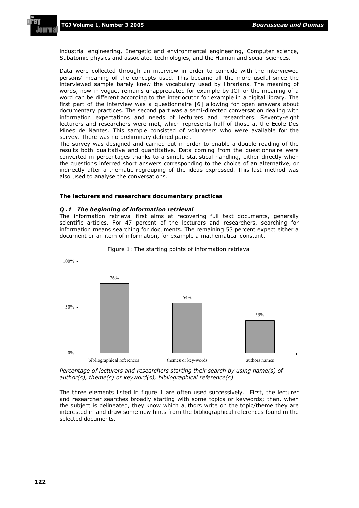

industrial engineering, Energetic and environmental engineering, Computer science, Subatomic physics and associated technologies, and the Human and social sciences.

Data were collected through an interview in order to coincide with the interviewed persons' meaning of the concepts used. This became all the more useful since the interviewed sample barely knew the vocabulary used by librarians. The meaning of words, now in vogue, remains unappreciated for example by ICT or the meaning of a word can be different according to the interlocutor for example in a digital library. The first part of the interview was a questionnaire [6] allowing for open answers about documentary practices. The second part was a semi-directed conversation dealing with information expectations and needs of lecturers and researchers. Seventy-eight lecturers and researchers were met, which represents half of those at the Ecole Des Mines de Nantes. This sample consisted of volunteers who were available for the survey. There was no preliminary defined panel.

The survey was designed and carried out in order to enable a double reading of the results both qualitative and quantitative. Data coming from the questionnaire were converted in percentages thanks to a simple statistical handling, either directly when the questions inferred short answers corresponding to the choice of an alternative, or indirectly after a thematic regrouping of the ideas expressed. This last method was also used to analyse the conversations.

#### **The lecturers and researchers documentary practices**

#### *Q .1 The beginning of information retrieval*

The information retrieval first aims at recovering full text documents, generally scientific articles. For 47 percent of the lecturers and researchers, searching for information means searching for documents. The remaining 53 percent expect either a document or an item of information, for example a mathematical constant.





*Percentage of lecturers and researchers starting their search by using name(s) of author(s), theme(s) or keyword(s), bibliographical reference(s)* 

The three elements listed in figure 1 are often used successively. First, the lecturer and researcher searches broadly starting with some topics or keywords; then, when the subject is delineated, they know which authors write on the topic/theme they are interested in and draw some new hints from the bibliographical references found in the selected documents.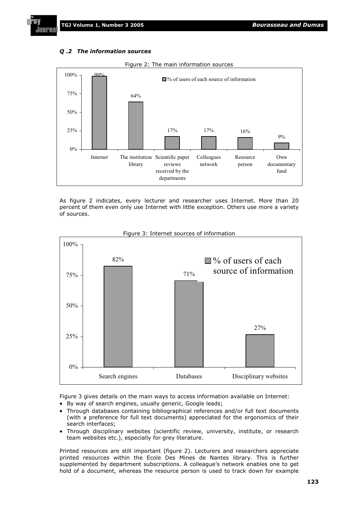#### *Q .2 The information sources*



Figure 2: The main information sources

As figure 2 indicates, every lecturer and researcher uses Internet. More than 20 percent of them even only use Internet with little exception. Others use more a variety of sources.



Figure 3: Internet sources of information

Figure 3 gives details on the main ways to access information available on Internet:

- By way of search engines, usually generic, Google leads;
- Through databases containing bibliographical references and/or full text documents (with a preference for full text documents) appreciated for the ergonomics of their search interfaces;
- Through disciplinary websites (scientific review, university, institute, or research team websites etc.), especially for grey literature.

Printed resources are still important (figure 2). Lecturers and researchers appreciate printed resources within the Ecole Des Mines de Nantes library. This is further supplemented by department subscriptions. A colleague's network enables one to get hold of a document, whereas the resource person is used to track down for example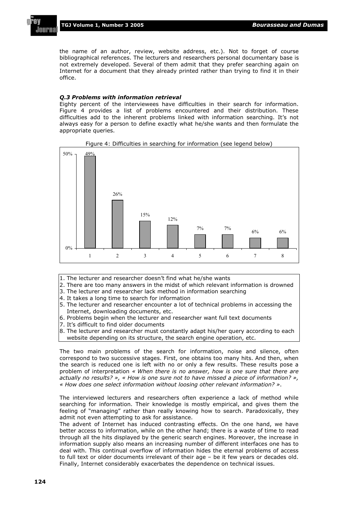**TGJ Volume 1, Number 3 2005** *Bourasseau and Dumas*

JAIIPI

the name of an author, review, website address, etc.). Not to forget of course bibliographical references. The lecturers and researchers personal documentary base is not extremely developed. Several of them admit that they prefer searching again on Internet for a document that they already printed rather than trying to find it in their office.

#### *Q.3 Problems with information retrieval*

Eighty percent of the interviewees have difficulties in their search for information. Figure 4 provides a list of problems encountered and their distribution. These difficulties add to the inherent problems linked with information searching. It's not always easy for a person to define exactly what he/she wants and then formulate the appropriate queries.





- 1. The lecturer and researcher doesn't find what he/she wants
- 2. There are too many answers in the midst of which relevant information is drowned
- 3. The lecturer and researcher lack method in information searching
- 4. It takes a long time to search for information
- 5. The lecturer and researcher encounter a lot of technical problems in accessing the Internet, downloading documents, etc.
- 6. Problems begin when the lecturer and researcher want full text documents
- 7. It's difficult to find older documents
- 8. The lecturer and researcher must constantly adapt his/her query according to each website depending on its structure, the search engine operation, etc.

The two main problems of the search for information, noise and silence, often correspond to two successive stages. First, one obtains too many hits. And then, when the search is reduced one is left with no or only a few results. These results pose a problem of interpretation *« When there is no answer, how is one sure that there are actually no results? », « How is one sure not to have missed a piece of information? », « How does one select information without loosing other relevant information? »*.

The interviewed lecturers and researchers often experience a lack of method while searching for information. Their knowledge is mostly empirical, and gives them the feeling of "managing" rather than really knowing how to search. Paradoxically, they admit not even attempting to ask for assistance.

The advent of Internet has induced contrasting effects. On the one hand, we have better access to information, while on the other hand; there is a waste of time to read through all the hits displayed by the generic search engines. Moreover, the increase in information supply also means an increasing number of different interfaces one has to deal with. This continual overflow of information hides the eternal problems of access to full text or older documents irrelevant of their age – be it few years or decades old. Finally, Internet considerably exacerbates the dependence on technical issues.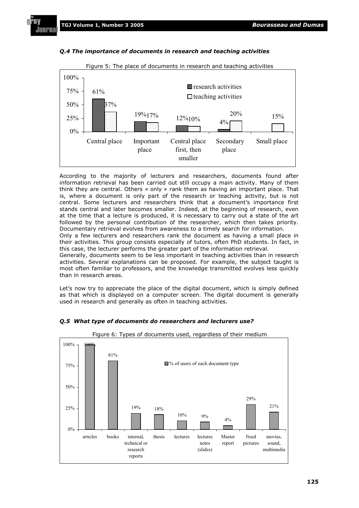



According to the majority of lecturers and researchers, documents found after information retrieval has been carried out still occupy a main activity. Many of them think they are central. Others « only » rank them as having an important place. That is, where a document is only part of the research or teaching activity, but is not central. Some lecturers and researchers think that a document's importance first stands central and later becomes smaller. Indeed, at the beginning of research, even at the time that a lecture is produced, it is necessary to carry out a state of the art followed by the personal contribution of the researcher, which then takes priority. Documentary retrieval evolves from awareness to a timely search for information.

Only a few lecturers and researchers rank the document as having a small place in their activities. This group consists especially of tutors, often PhD students. In fact, in this case, the lecturer performs the greater part of the information retrieval.

Generally, documents seem to be less important in teaching activities than in research activities. Several explanations can be proposed. For example, the subject taught is most often familiar to professors, and the knowledge transmitted evolves less quickly than in research areas.

Let's now try to appreciate the place of the digital document, which is simply defined as that which is displayed on a computer screen. The digital document is generally used in research and generally as often in teaching activities.



#### *Q.5 What type of documents do researchers and lecturers use?*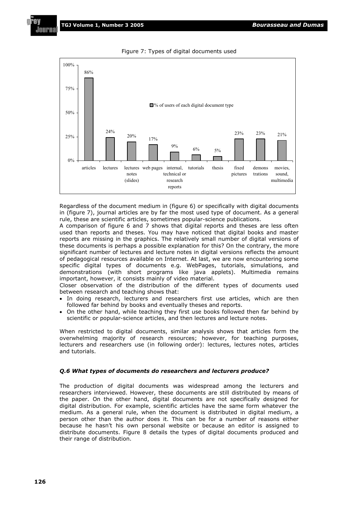

Figure 7: Types of digital documents used

Regardless of the document medium in (figure 6) or specifically with digital documents in (figure 7), journal articles are by far the most used type of document. As a general rule, these are scientific articles, sometimes popular-science publications.

A comparison of figure 6 and 7 shows that digital reports and theses are less often used than reports and theses. You may have noticed that digital books and master reports are missing in the graphics. The relatively small number of digital versions of these documents is perhaps a possible explanation for this? On the contrary, the more significant number of lectures and lecture notes in digital versions reflects the amount of pedagogical resources available on Internet. At last, we are now encountering some specific digital types of documents e.g. WebPages, tutorials, simulations, and demonstrations (with short programs like java applets). Multimedia remains important, however, it consists mainly of video material.

Closer observation of the distribution of the different types of documents used between research and teaching shows that:

- In doing research, lecturers and researchers first use articles, which are then followed far behind by books and eventually theses and reports.
- On the other hand, while teaching they first use books followed then far behind by scientific or popular-science articles, and then lectures and lecture notes.

When restricted to digital documents, similar analysis shows that articles form the overwhelming majority of research resources; however, for teaching purposes, lecturers and researchers use (in following order): lectures, lectures notes, articles and tutorials.

#### *Q.6 What types of documents do researchers and lecturers produce?*

The production of digital documents was widespread among the lecturers and researchers interviewed. However, these documents are still distributed by means of the paper. On the other hand, digital documents are not specifically designed for digital distribution. For example, scientific articles have the same form whatever the medium. As a general rule, when the document is distributed in digital medium, a person other than the author does it. This can be for a number of reasons either because he hasn't his own personal website or because an editor is assigned to distribute documents. Figure 8 details the types of digital documents produced and their range of distribution.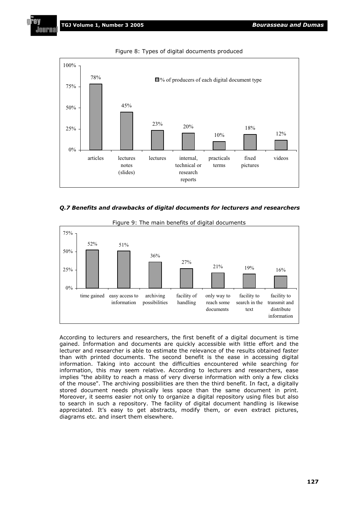

Figure 8: Types of digital documents produced





Figure 9: The main benefits of digital documents

According to lecturers and researchers, the first benefit of a digital document is time gained. Information and documents are quickly accessible with little effort and the lecturer and researcher is able to estimate the relevance of the results obtained faster than with printed documents. The second benefit is the ease in accessing digital information. Taking into account the difficulties encountered while searching for information, this may seem relative. According to lecturers and researchers, ease implies "the ability to reach a mass of very diverse information with only a few clicks of the mouse". The archiving possibilities are then the third benefit. In fact, a digitally stored document needs physically less space than the same document in print. Moreover, it seems easier not only to organize a digital repository using files but also to search in such a repository. The facility of digital document handling is likewise appreciated. It's easy to get abstracts, modify them, or even extract pictures, diagrams etc. and insert them elsewhere.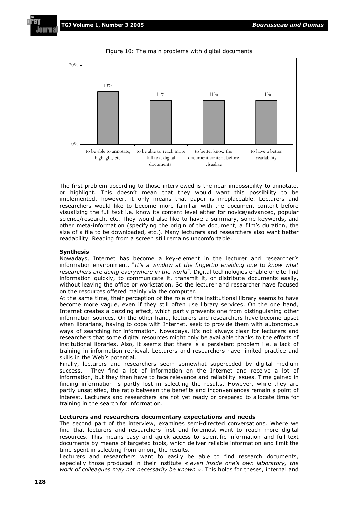

Figure 10: The main problems with digital documents

The first problem according to those interviewed is the near impossibility to annotate, or highlight. This doesn't mean that they would want this possibility to be implemented, however, it only means that paper is irreplaceable. Lecturers and researchers would like to become more familiar with the document content before visualizing the full text i.e. know its content level either for novice/advanced, popular science/research, etc. They would also like to have a summary, some keywords, and other meta-information (specifying the origin of the document, a film's duration, the size of a file to be downloaded, etc.). Many lecturers and researchers also want better readability. Reading from a screen still remains uncomfortable.

#### **Synthesis**

Nowadays, Internet has become a key-element in the lecturer and researcher's information environment. "*It's a window at the fingertip enabling one to know what researchers are doing everywhere in the world*". Digital technologies enable one to find information quickly, to communicate it, transmit it, or distribute documents easily, without leaving the office or workstation. So the lecturer and researcher have focused on the resources offered mainly via the computer.

At the same time, their perception of the role of the institutional library seems to have become more vague, even if they still often use library services. On the one hand, Internet creates a dazzling effect, which partly prevents one from distinguishing other information sources. On the other hand, lecturers and researchers have become upset when librarians, having to cope with Internet, seek to provide them with autonomous ways of searching for information. Nowadays, it's not always clear for lecturers and researchers that some digital resources might only be available thanks to the efforts of institutional libraries. Also, it seems that there is a persistent problem i.e. a lack of training in information retrieval. Lecturers and researchers have limited practice and skills in the Web's potential.

Finally, lecturers and researchers seem somewhat superceded by digital medium success. They find a lot of information on the Internet and receive a lot of information, but they then have to face relevance and reliability issues. Time gained in finding information is partly lost in selecting the results. However, while they are partly unsatisfied, the ratio between the benefits and inconveniences remain a point of interest. Lecturers and researchers are not yet ready or prepared to allocate time for training in the search for information.

#### **Lecturers and researchers documentary expectations and needs**

The second part of the interview, examines semi-directed conversations. Where we find that lecturers and researchers first and foremost want to reach more digital resources. This means easy and quick access to scientific information and full-text documents by means of targeted tools, which deliver reliable information and limit the time spent in selecting from among the results.

Lecturers and researchers want to easily be able to find research documents, especially those produced in their institute « *even inside one's own laboratory, the work of colleagues may not necessarily be known* ». This holds for theses, internal and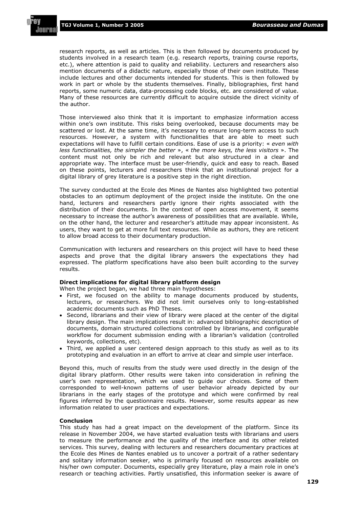research reports, as well as articles. This is then followed by documents produced by students involved in a research team (e.g. research reports, training course reports, etc.), where attention is paid to quality and reliability. Lecturers and researchers also mention documents of a didactic nature, especially those of their own institute. These include lectures and other documents intended for students. This is then followed by work in part or whole by the students themselves. Finally, bibliographies, first hand reports, some numeric data, data-processing code blocks, etc. are considered of value. Many of these resources are currently difficult to acquire outside the direct vicinity of the author.

Those interviewed also think that it is important to emphasize information access within one's own institute. This risks being overlooked, because documents may be scattered or lost. At the same time, it's necessary to ensure long-term access to such resources. However, a system with functionalities that are able to meet such expectations will have to fulfill certain conditions. Ease of use is a priority: « *even with less functionalities, the simpler the better* », « *the more keys, the less visitors* ». The content must not only be rich and relevant but also structured in a clear and appropriate way. The interface must be user-friendly, quick and easy to reach. Based on these points, lecturers and researchers think that an institutional project for a digital library of grey literature is a positive step in the right direction.

The survey conducted at the Ecole des Mines de Nantes also highlighted two potential obstacles to an optimum deployment of the project inside the institute. On the one hand, lecturers and researchers partly ignore their rights associated with the distribution of their documents. In the context of open access movement, it seems necessary to increase the author's awareness of possibilities that are available. While, on the other hand, the lecturer and researcher's attitude may appear inconsistent. As users, they want to get at more full text resources. While as authors, they are reticent to allow broad access to their documentary production.

Communication with lecturers and researchers on this project will have to heed these aspects and prove that the digital library answers the expectations they had expressed. The platform specifications have also been built according to the survey results.

#### **Direct implications for digital library platform design**

When the project began, we had three main hypotheses:

- First, we focused on the ability to manage documents produced by students, lecturers, or researchers. We did not limit ourselves only to long-established academic documents such as PhD Theses.
- Second, librarians and their view of library were placed at the center of the digital library design. The main implications result in: advanced bibliographic description of documents, domain structured collections controlled by librarians, and configurable workflow for document submission ending with a librarian's validation (controlled keywords, collections, etc).
- Third, we applied a user centered design approach to this study as well as to its prototyping and evaluation in an effort to arrive at clear and simple user interface.

Beyond this, much of results from the study were used directly in the design of the digital library platform. Other results were taken into consideration in refining the user's own representation, which we used to guide our choices. Some of them corresponded to well-known patterns of user behavior already depicted by our librarians in the early stages of the prototype and which were confirmed by real figures inferred by the questionnaire results. However, some results appear as new information related to user practices and expectations.

#### **Conclusion**

This study has had a great impact on the development of the platform. Since its release in November 2004, we have started evaluation tests with librarians and users to measure the performance and the quality of the interface and its other related services. This survey, dealing with lecturers and researchers documentary practices at the Ecole des Mines de Nantes enabled us to uncover a portrait of a rather sedentary and solitary information seeker, who is primarily focused on resources available on his/her own computer. Documents, especially grey literature, play a main role in one's research or teaching activities. Partly unsatisfied, this information seeker is aware of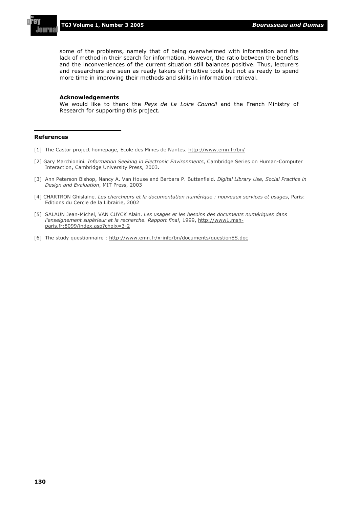

some of the problems, namely that of being overwhelmed with information and the lack of method in their search for information. However, the ratio between the benefits and the inconveniences of the current situation still balances positive. Thus, lecturers and researchers are seen as ready takers of intuitive tools but not as ready to spend more time in improving their methods and skills in information retrieval.

#### **Acknowledgements**

We would like to thank the *Pays de La Loire Council* and the French Ministry of Research for supporting this project.

#### **References**

- [1] The Castor project homepage, Ecole des Mines de Nantes. http://www.emn.fr/bn/
- [2] Gary Marchionini*. Information Seeking in Electronic Environments*, Cambridge Series on Human-Computer Interaction, Cambridge University Press, 2003.
- [3] Ann Peterson Bishop, Nancy A. Van House and Barbara P. Buttenfield. *Digital Library Use, Social Practice in Design and Evaluation*, MIT Press, 2003
- [4] CHARTRON Ghislaine. *Les chercheurs et la documentation numérique : nouveaux services et usages*, Paris: Editions du Cercle de la Librairie, 2002
- [5] SALAÜN Jean-Michel, VAN CUYCK Alain. *Les usages et les besoins des documents numériques dans l'enseignement supérieur et la recherche. Rapport final*, 1999, http://www1.mshparis.fr:8099/index.asp?choix=3-2
- [6] The study questionnaire : http://www.emn.fr/x-info/bn/documents/questionES.doc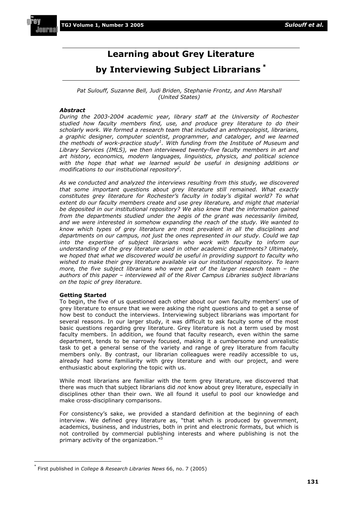#### **Learning about Grey Literature**

#### **by Interviewing Subject Librarians \***

#### Pat Sulouff, Suzanne Bell, Judi Briden, Stephanie Frontz, and Ann Marshall *(United States)*

#### *Abstract*

*During the 2003-2004 academic year, library staff at the University of Rochester studied how faculty members find, use, and produce grey literature to do their scholarly work. We formed a research team that included an anthropologist, librarians, a graphic designer, computer scientist, programmer, and cataloger, and we learned the methods of work-practice study<sup>1</sup> . With funding from the Institute of Museum and Library Services (IMLS), we then interviewed twenty-five faculty members in art and art history, economics, modern languages, linguistics, physics, and political science with the hope that what we learned would be useful in designing additions or modifications to our institutional repository2 .*

*As we conducted and analyzed the interviews resulting from this study, we discovered that some important questions about grey literature still remained. What exactly constitutes grey literature for Rochester's faculty in today's digital world? To what*  extent do our faculty members create and use grey literature, and might that material *be deposited in our institutional repository? We also knew that the information gained from the departments studied under the aegis of the grant was necessarily limited, and we were interested in somehow expanding the reach of the study. We wanted to know which types of grey literature are most prevalent in all the disciplines and departments on our campus, not just the ones represented in our study. Could we tap into the expertise of subject librarians who work with faculty to inform our understanding of the grey literature used in other academic departments? Ultimately, we hoped that what we discovered would be useful in providing support to faculty who wished to make their grey literature available via our institutional repository. To learn more, the five subject librarians who were part of the larger research team – the authors of this paper – interviewed all of the River Campus Libraries subject librarians on the topic of grey literature.* 

#### **Getting Started**

To begin, the five of us questioned each other about our own faculty members' use of grey literature to ensure that we were asking the right questions and to get a sense of how best to conduct the interviews. Interviewing subject librarians was important for several reasons. In our larger study, it was difficult to ask faculty some of the most basic questions regarding grey literature. Grey literature is not a term used by most faculty members. In addition, we found that faculty research, even within the same department, tends to be narrowly focused, making it a cumbersome and unrealistic task to get a general sense of the variety and range of grey literature from faculty members only. By contrast, our librarian colleagues were readily accessible to us, already had some familiarity with grey literature and with our project, and were enthusiastic about exploring the topic with us.

While most librarians are familiar with the term grey literature, we discovered that there was much that subject librarians did *not* know about grey literature, especially in disciplines other than their own. We all found it useful to pool our knowledge and make cross-disciplinary comparisons.

For consistency's sake, we provided a standard definition at the beginning of each interview. We defined grey literature as, "that which is produced by government, academics, business, and industries, both in print and electronic formats, but which is not controlled by commercial publishing interests and where publishing is not the primary activity of the organization."<sup>3</sup>

<sup>\*</sup> First published in *College & Research Libraries News* 66, no. 7 (2005)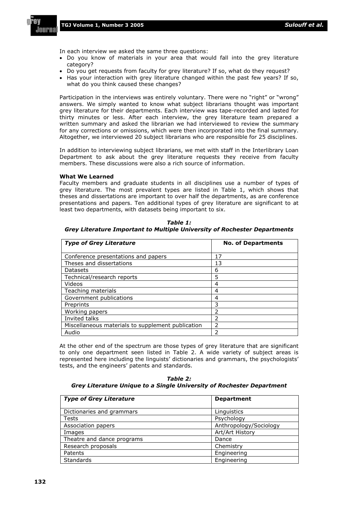In each interview we asked the same three questions:

- Do you know of materials in your area that would fall into the grey literature category?
- Do you get requests from faculty for grey literature? If so, what do they request?
- Has your interaction with grey literature changed within the past few years? If so, what do you think caused these changes?

Participation in the interviews was entirely voluntary. There were no "right" or "wrong" answers. We simply wanted to know what subject librarians thought was important grey literature for their departments. Each interview was tape-recorded and lasted for thirty minutes or less. After each interview, the grey literature team prepared a written summary and asked the librarian we had interviewed to review the summary for any corrections or omissions, which were then incorporated into the final summary. Altogether, we interviewed 20 subject librarians who are responsible for 25 disciplines.

In addition to interviewing subject librarians, we met with staff in the Interlibrary Loan Department to ask about the grey literature requests they receive from faculty members. These discussions were also a rich source of information.

#### **What We Learned**

Faculty members and graduate students in all disciplines use a number of types of grey literature. The most prevalent types are listed in Table 1, which shows that theses and dissertations are important to over half the departments, as are conference presentations and papers. Ten additional types of grey literature are significant to at least two departments, with datasets being important to six.

| <b>Type of Grey Literature</b>                    | <b>No. of Departments</b> |
|---------------------------------------------------|---------------------------|
| Conference presentations and papers               | 17                        |
| Theses and dissertations                          | 13                        |
| <b>Datasets</b>                                   | 6                         |
| Technical/research reports                        | 5                         |
| Videos                                            | 4                         |
| Teaching materials                                | 4                         |
| Government publications                           | 4                         |
| Preprints                                         | 3                         |
| Working papers                                    | っ                         |
| Invited talks                                     | フ                         |
| Miscellaneous materials to supplement publication | フ                         |
| Audio                                             | າ                         |

*Table 1: Grey Literature Important to Multiple University of Rochester Departments* 

At the other end of the spectrum are those types of grey literature that are significant to only one department seen listed in Table 2. A wide variety of subject areas is represented here including the linguists' dictionaries and grammars, the psychologists' tests, and the engineers' patents and standards.

*Table 2: Grey Literature Unique to a Single University of Rochester Department* 

| <b>Type of Grey Literature</b> | <b>Department</b>      |  |
|--------------------------------|------------------------|--|
| Dictionaries and grammars      | Linguistics            |  |
| Tests                          | Psychology             |  |
| Association papers             | Anthropology/Sociology |  |
| Images                         | Art/Art History        |  |
| Theatre and dance programs     | Dance                  |  |
| Research proposals             | Chemistry              |  |
| Patents                        | Engineering            |  |
| Standards                      | Engineering            |  |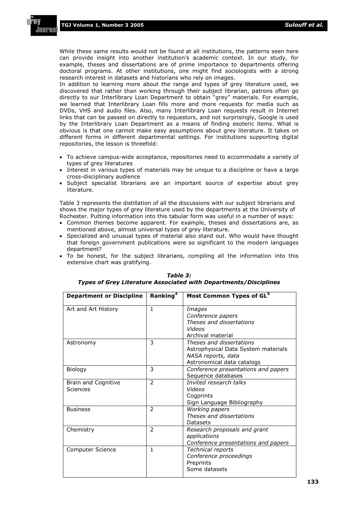**TGJ Volume 1, Number 3 2005** *Sulouff et al.*

While these same results would not be found at all institutions, the patterns seen here can provide insight into another institution's academic context. In our study, for example, theses and dissertations are of prime importance to departments offering doctoral programs. At other institutions, one might find sociologists with a strong research interest in datasets and historians who rely on images.

In addition to learning more about the range and types of grey literature used, we discovered that rather than working through their subject librarian, patrons often go directly to our Interlibrary Loan Department to obtain "grey" materials. For example, we learned that Interlibrary Loan fills more and more requests for media such as DVDs, VHS and audio files. Also, many Interlibrary Loan requests result in Internet links that can be passed on directly to requestors, and not surprisingly, Google is used by the Interlibrary Loan Department as a means of finding esoteric items. What is obvious is that one cannot make easy assumptions about grey literature. It takes on different forms in different departmental settings. For institutions supporting digital repositories, the lesson is threefold:

- To achieve campus-wide acceptance, repositories need to accommodate a variety of types of grey literatures
- Interest in various types of materials may be unique to a discipline or have a large cross-disciplinary audience
- Subject specialist librarians are an important source of expertise about grey literature.

Table 3 represents the distillation of all the discussions with our subject librarians and shows the major types of grey literature used by the departments at the University of Rochester. Putting information into this tabular form was useful in a number of ways:

- Common themes become apparent. For example, theses and dissertations are, as mentioned above, almost universal types of grey literature.
- Specialized and unusual types of material also stand out. Who would have thought that foreign government publications were so significant to the modern languages department?
- To be honest, for the subject librarians, compiling all the information into this extensive chart was gratifying.

| <b>Department or Discipline</b> | Ranking <sup>4</sup>     | Most Common Types of GL <sup>5</sup>                                                                                |
|---------------------------------|--------------------------|---------------------------------------------------------------------------------------------------------------------|
| Art and Art History             | 1                        | Images<br>Conference papers<br>Theses and dissertations<br>Videos<br>Archival material                              |
| Astronomy                       | 3                        | Theses and dissertations<br>Astrophysical Data System materials<br>NASA reports, data<br>Astronomical data catalogs |
| Biology                         | 3                        | Conference presentations and papers<br>Sequence databases                                                           |
| Brain and Cognitive<br>Sciences | $\overline{\phantom{a}}$ | Invited research talks<br>Videos<br>Cogprints<br>Sign Language Bibliography                                         |
| <b>Business</b>                 | $\mathcal{P}$            | Working papers<br>Theses and dissertations<br>Datasets                                                              |
| Chemistry                       | $\mathcal{P}$            | Research proposals and grant<br>applications<br>Conference presentations and papers                                 |
| Computer Science                | 1                        | Technical reports<br>Conference proceedings<br>Preprints<br>Some datasets                                           |

#### *Table 3: Types of Grey Literature Associated with Departments/Disciplines*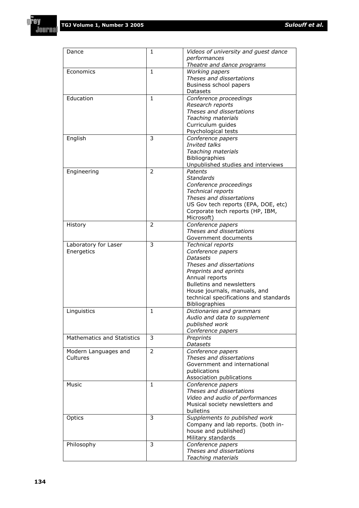f A٧

**Journal** 

 $\mathbf{r}$ 

4

| Dance                             | 1              | Videos of university and guest dance   |  |
|-----------------------------------|----------------|----------------------------------------|--|
|                                   |                | performances                           |  |
|                                   |                | Theatre and dance programs             |  |
| Economics                         | $\mathbf{1}$   | Working papers                         |  |
|                                   |                | Theses and dissertations               |  |
|                                   |                | Business school papers                 |  |
|                                   |                | Datasets                               |  |
| Education                         | $\mathbf{1}$   | Conference proceedings                 |  |
|                                   |                | Research reports                       |  |
|                                   |                | Theses and dissertations               |  |
|                                   |                |                                        |  |
|                                   |                | Teaching materials                     |  |
|                                   |                | Curriculum guides                      |  |
|                                   |                | Psychological tests                    |  |
| English                           | 3              | Conference papers                      |  |
|                                   |                | Invited talks                          |  |
|                                   |                | Teaching materials                     |  |
|                                   |                | Bibliographies                         |  |
|                                   |                | Unpublished studies and interviews     |  |
| Engineering                       | $\overline{2}$ | Patents                                |  |
|                                   |                | <b>Standards</b>                       |  |
|                                   |                |                                        |  |
|                                   |                | Conference proceedings                 |  |
|                                   |                | Technical reports                      |  |
|                                   |                | Theses and dissertations               |  |
|                                   |                | US Gov tech reports (EPA, DOE, etc)    |  |
|                                   |                | Corporate tech reports (HP, IBM,       |  |
|                                   |                | Microsoft)                             |  |
| History                           | $\overline{2}$ | Conference papers                      |  |
|                                   |                | Theses and dissertations               |  |
|                                   |                | Government documents                   |  |
|                                   | 3              |                                        |  |
| Laboratory for Laser              |                | Technical reports                      |  |
| Energetics                        |                | Conference papers                      |  |
|                                   |                | <b>Datasets</b>                        |  |
|                                   |                | Theses and dissertations               |  |
|                                   |                | Preprints and eprints                  |  |
|                                   |                | Annual reports                         |  |
|                                   |                | <b>Bulletins and newsletters</b>       |  |
|                                   |                | House journals, manuals, and           |  |
|                                   |                | technical specifications and standards |  |
|                                   |                | Bibliographies                         |  |
| Linguistics                       | $\mathbf{1}$   | Dictionaries and grammars              |  |
|                                   |                | Audio and data to supplement           |  |
|                                   |                |                                        |  |
|                                   |                | published work                         |  |
|                                   |                | Conference papers                      |  |
| <b>Mathematics and Statistics</b> | 3              | Preprints                              |  |
|                                   |                | <b>Datasets</b>                        |  |
| Modern Languages and              | $\overline{2}$ | Conference papers                      |  |
| Cultures                          |                | Theses and dissertations               |  |
|                                   |                | Government and international           |  |
|                                   |                | publications                           |  |
|                                   |                | Association publications               |  |
| Music                             | $\mathbf{1}$   | Conference papers                      |  |
|                                   |                | Theses and dissertations               |  |
|                                   |                | Video and audio of performances        |  |
|                                   |                | Musical society newsletters and        |  |
|                                   |                | bulletins                              |  |
| Optics                            | 3              | Supplements to published work          |  |
|                                   |                |                                        |  |
|                                   |                | Company and lab reports. (both in-     |  |
|                                   |                | house and published)                   |  |
|                                   |                | Military standards                     |  |
| Philosophy                        | 3              | Conference papers                      |  |
|                                   |                | Theses and dissertations               |  |
|                                   |                | Teaching materials                     |  |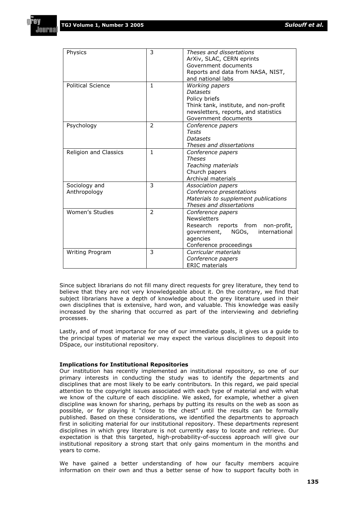| Physics                  | 3              | Theses and dissertations<br>ArXiv, SLAC, CERN eprints<br>Government documents<br>Reports and data from NASA, NIST, |  |
|--------------------------|----------------|--------------------------------------------------------------------------------------------------------------------|--|
| <b>Political Science</b> | $\mathbf{1}$   | and national labs                                                                                                  |  |
|                          |                | Working papers<br><b>Datasets</b>                                                                                  |  |
|                          |                | Policy briefs                                                                                                      |  |
|                          |                | Think tank, institute, and non-profit                                                                              |  |
|                          |                | newsletters, reports, and statistics                                                                               |  |
|                          |                | Government documents                                                                                               |  |
| Psychology               | $\mathcal{P}$  | Conference papers                                                                                                  |  |
|                          |                | Tests                                                                                                              |  |
|                          |                | <b>Datasets</b>                                                                                                    |  |
|                          |                | Theses and dissertations                                                                                           |  |
| Religion and Classics    | $\mathbf{1}$   | Conference papers                                                                                                  |  |
|                          |                | <b>Theses</b>                                                                                                      |  |
|                          |                | Teaching materials                                                                                                 |  |
|                          |                | Church papers                                                                                                      |  |
|                          |                | Archival materials                                                                                                 |  |
| Sociology and            | 3              | Association papers                                                                                                 |  |
| Anthropology             |                | Conference presentations<br>Materials to supplement publications                                                   |  |
|                          |                | Theses and dissertations                                                                                           |  |
| Women's Studies          | $\overline{2}$ | Conference papers                                                                                                  |  |
|                          |                | <b>Newsletters</b>                                                                                                 |  |
|                          |                | Research reports from<br>non-profit,                                                                               |  |
|                          |                | international<br>NGOs,<br>government,                                                                              |  |
|                          |                | agencies                                                                                                           |  |
|                          |                | Conference proceedings                                                                                             |  |
| <b>Writing Program</b>   | 3              | Curricular materials                                                                                               |  |
|                          |                | Conference papers                                                                                                  |  |
|                          |                | <b>ERIC</b> materials                                                                                              |  |

Since subject librarians do not fill many direct requests for grey literature, they tend to believe that they are not very knowledgeable about it. On the contrary, we find that subject librarians have a depth of knowledge about the grey literature used in their own disciplines that is extensive, hard won, and valuable. This knowledge was easily increased by the sharing that occurred as part of the interviewing and debriefing processes.

Lastly, and of most importance for one of our immediate goals, it gives us a guide to the principal types of material we may expect the various disciplines to deposit into DSpace, our institutional repository.

#### **Implications for Institutional Repositories**

Our institution has recently implemented an institutional repository, so one of our primary interests in conducting the study was to identify the departments and disciplines that are most likely to be early contributors. In this regard, we paid special attention to the copyright issues associated with each type of material and with what we know of the culture of each discipline. We asked, for example, whether a given discipline was known for sharing, perhaps by putting its results on the web as soon as possible, or for playing it "close to the chest" until the results can be formally published. Based on these considerations, we identified the departments to approach first in soliciting material for our institutional repository. These departments represent disciplines in which grey literature is not currently easy to locate and retrieve. Our expectation is that this targeted, high-probability-of-success approach will give our institutional repository a strong start that only gains momentum in the months and years to come.

We have gained a better understanding of how our faculty members acquire information on their own and thus a better sense of how to support faculty both in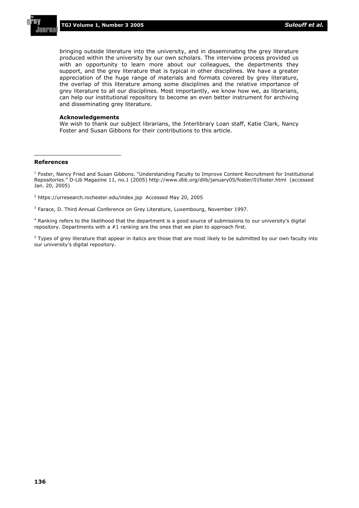bringing outside literature into the university, and in disseminating the grey literature produced within the university by our own scholars. The interview process provided us with an opportunity to learn more about our colleagues, the departments they support, and the grey literature that is typical in other disciplines. We have a greater appreciation of the huge range of materials and formats covered by grey literature, the overlap of this literature among some disciplines and the relative importance of grey literature to all our disciplines. Most importantly, we know how we, as librarians, can help our institutional repository to become an even better instrument for archiving and disseminating grey literature.

#### **Acknowledgements**

We wish to thank our subject librarians, the Interlibrary Loan staff, Katie Clark, Nancy Foster and Susan Gibbons for their contributions to this article.

#### **References**

<sup>1</sup> Foster, Nancy Fried and Susan Gibbons. "Understanding Faculty to Improve Content Recruitment for Institutional Repositories." D-Lib Magazine 11, no.1 (2005) http://www.dlib.org/dlib/january05/foster/01foster.html (accessed Jan. 20, 2005)

<sup>2</sup> https://urresearch.rochester.edu/index.jsp Accessed May 20, 2005

<sup>3</sup> Farace, D. Third Annual Conference on Grey Literature, Luxembourg, November 1997.

4 Ranking refers to the likelihood that the department is a good source of submissions to our university's digital repository. Departments with a  $#1$  ranking are the ones that we plan to approach first.

 $^5$  Types of grey literature that appear in italics are those that are most likely to be submitted by our own faculty into our university's digital repository.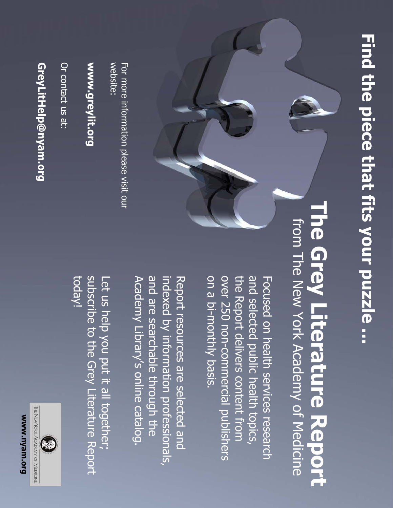# Find the piece that fits your puzzle ... **Find the piece that fits your puzzle …**

# from The New York Academy of Medicine **The Grey Literature Report The Grey Literature Report** from The New York Academy of Medicine

on a bi-monthly basis. over 250 non-commercial publishers the Report delivers content from and selected public health topics, Focused on health services research the Report delivers content from on a bi-monthly basis. over 250 non-commercial publishers and selected public health topics, Focused on health services research

and are searchable through the indexed by information professionals, Report resources are selected and Academy Library's online catalog. Academy Library's online catalog. and are searchable through the indexed by information professionals, Report resources are selected and

today! subscribe to the Grey Literature Report Let us help you put it all together; subscribe to the Grey Literature Report Let us help you put it all together;



Or contact us at: Or contact us at:

# www.greylit.org **www.greylit.org**

website For more information please visit our For more information please visit our

Mww.nyam.org **www.nyam.org**

THE NEW YORK ACADEMY OF MEDICINE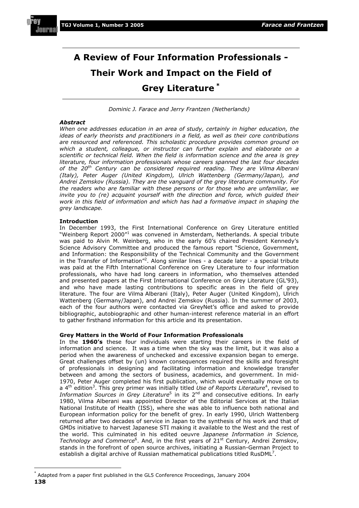# **A Review of Four Information Professionals - Their Work and Impact on the Field of Grey Literature \***

*Dominic J. Farace and Jerry Frantzen (Netherlands)* 

#### *Abstract*

*When one addresses education in an area of study, certainly in higher education, the ideas of early theorists and practitioners in a field, as well as their core contributions are resourced and referenced. This scholastic procedure provides common ground on which a student, colleague, or instructor can further explain and elaborate on a scientific or technical field. When the field is information science and the area is grey literature, four information professionals whose careers spanned the last four decades of the 20th Century can be considered required reading. They are Vilma Alberani (Italy), Peter Auger (United Kingdom), Ulrich Wattenberg (Germany/Japan), and Andrei Zemskov (Russia). They are the vanguard of the grey literature community. For the readers who are familiar with these persons or for those who are unfamiliar, we invite you to (re) acquaint yourself with the direction and force, which quided their work in this field of information and which has had a formative impact in shaping the grey landscape.* 

#### **Introduction**

In December 1993, the First International Conference on Grey Literature entitled "Weinberg Report 2000"<sup>1</sup> was convened in Amsterdam, Netherlands. A special tribute was paid to Alvin M. Weinberg, who in the early 60's chaired President Kennedy's Science Advisory Committee and produced the famous report "Science, Government, and Information: the Responsibility of the Technical Community and the Government in the Transfer of Information"2 . Along similar lines - a decade later - a special tribute was paid at the Fifth International Conference on Grey Literature to four information professionals, who have had long careers in information, who themselves attended and presented papers at the First International Conference on Grey Literature (GL'93), and who have made lasting contributions to specific areas in the field of grey literature. The four are Vilma Alberani (Italy), Peter Auger (United Kingdom), Ulrich Wattenberg (Germany/Japan), and Andrei Zemskov (Russia). In the summer of 2003, each of the four authors were contacted via GreyNet's office and asked to provide bibliographic, autobiographic and other human-interest reference material in an effort to gather firsthand information for this article and its presentation.

#### **Grey Matters in the World of Four Information Professionals**

In the **1960's** these four individuals were starting their careers in the field of information and science. It was a time when the sky was the limit, but it was also a period when the awareness of unchecked and excessive expansion began to emerge. Great challenges offset by (un) known consequences required the skills and foresight of professionals in designing and facilitating information and knowledge transfer between and among the sectors of business, academics, and government. In mid-1970, Peter Auger completed his first publication, which would eventually move on to a 4<sup>th</sup> edition<sup>3</sup>. This grey primer was initially titled *Use of Reports Literature*<sup>4</sup>, revised to Information Sources in Grey Literature<sup>5</sup> in its 2<sup>nd</sup> and consecutive editions. In early 1980, Vilma Alberani was appointed Director of the Editorial Services at the Italian National Institute of Health (ISS), where she was able to influence both national and European information policy for the benefit of grey. In early 1990, Ulrich Wattenberg returned after two decades of service in Japan to the synthesis of his work and that of GMDs initiative to harvest Japanese STI making it available to the West and the rest of the world. This culminated in his edited oeuvre *Japanese Information in Science,*  Technology and Commerce<sup>6</sup>. And, in the first years of 21<sup>st</sup> Century, Andrei Zemskov, stands in the forefront of open source archives, initiating a Russian-German Project to establish a digital archive of Russian mathematical publications titled RusDML<sup>7</sup>.

**<sup>138</sup>** Adapted from a paper first published in the GL5 Conference Proceedings, January 2004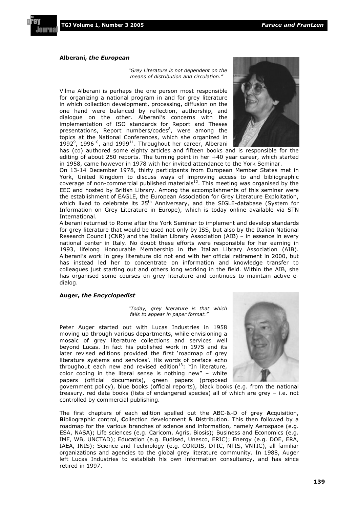

#### **Alberani,** *the European*

*"Grey Literature is not dependent on the means of distribution and circulation."* 

Vilma Alberani is perhaps the one person most responsible for organizing a national program in and for grey literature in which collection development, processing, diffusion on the one hand were balanced by reflection, authorship, and dialogue on the other. Alberani's concerns with the implementation of ISO standards for Report and Theses presentations, Report numbers/codes<sup>8</sup>, were among the topics at the National Conferences, which she organized in 1992 $^9$ , 1996<sup>10</sup>, and 1999<sup>11</sup>. Throughout her career, Alberani



has (co) authored some eighty articles and fifteen books and is responsible for the editing of about 250 reports. The turning point in her +40 year career, which started in 1958, came however in 1978 with her invited attendance to the York Seminar.

On 13-14 December 1978, thirty participants from European Member States met in York, United Kingdom to discuss ways of improving access to and bibliographic  $coverage$  of non-commercial published materials<sup>12</sup>. This meeting was organised by the EEC and hosted by British Library. Among the accomplishments of this seminar were the establishment of EAGLE, the European Association for Grey Literature Exploitation, which lived to celebrate its 25<sup>th</sup> Anniversary, and the SIGLE-database (System for Information on Grey Literature in Europe), which is today online available via STN International.

Alberani returned to Rome after the York Seminar to implement and develop standards for grey literature that would be used not only by ISS, but also by the Italian National Research Council (CNR) and the Italian Library Association (AIB) – in essence in every national center in Italy. No doubt these efforts were responsible for her earning in 1993, lifelong Honourable Membership in the Italian Library Association (AIB). Alberani's work in grey literature did not end with her official retirement in 2000, but has instead led her to concentrate on information and knowledge transfer to colleagues just starting out and others long working in the field. Within the AIB, she has organised some courses on grey literature and continues to maintain active edialog.

#### **Auger,** *the Encyclopedist*

*"Today, grey literature is that which fails to appear in paper format."* 

Peter Auger started out with Lucas Industries in 1958 moving up through various departments, while envisioning a mosaic of grey literature collections and services well beyond Lucas. In fact his published work in 1975 and its later revised editions provided the first 'roadmap of grey literature systems and services'. His words of preface echo throughout each new and revised edition<sup>13</sup>: "In literature, color coding in the literal sense is nothing new" – white papers (official documents), green papers (proposed



government policy), blue books (official reports), black books (e.g. from the national treasury, red data books (lists of endangered species) all of which are grey – i.e. not controlled by commercial publishing.

The first chapters of each edition spelled out the ABC-&-D of grey **A**cquisition, **B**ibliographic control, **C**ollection development & **D**istribution. This then followed by a roadmap for the various branches of science and information, namely Aerospace (e.g. ESA, NASA); Life sciences (e.g. Caricom, Agris, Biosis); Business and Economics (e.g. IMF, WB, UNCTAD); Education (e.g. Eudised, Unesco, ERIC); Energy (e.g. DOE, ERA, IAEA, INIS); Science and Technology (e.g. CORDIS, DTIC, NTIS, VNTIC), all familiar organizations and agencies to the global grey literature community. In 1988, Auger left Lucas Industries to establish his own information consultancy, and has since retired in 1997.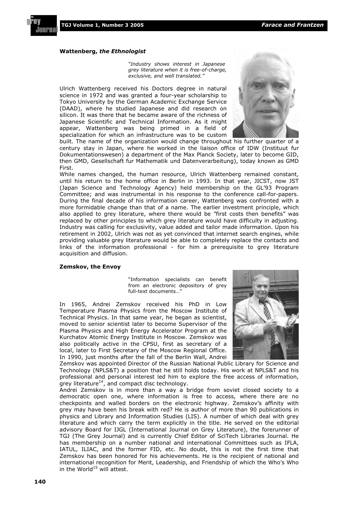

#### **Wattenberg,** *the Ethnologist*

*"Industry shows interest in Japanese grey literature when it is free-of-charge, exclusive, and well translated."* 

Ulrich Wattenberg received his Doctors degree in natural science in 1972 and was granted a four-year scholarship to Tokyo University by the German Academic Exchange Service (DAAD), where he studied Japanese and did research on silicon. It was there that he became aware of the richness of Japanese Scientific and Technical Information. As it might appear, Wattenberg was being primed in a field of specialization for which an infrastructure was to be custom



built. The name of the organization would change throughout his further quarter of a century stay in Japan, where he worked in the liaison office of IDW (Instituut fur Dokumentationswesen) a department of the Max Planck Society, later to become GID, then GMD, Gesellschaft fur Mathematik und Datenverarbeitung), today known as GMD First.

While names changed, the human resource, Ulrich Wattenberg remained constant, until his return to the home office in Berlin in 1993. In that year, JICST, now JST (Japan Science and Technology Agency) held membership on the GL'93 Program Committee; and was instrumental in his response to the conference call-for-papers. During the final decade of his information career, Wattenberg was confronted with a more formidable change than that of a name. The earlier investment principle, which also applied to grey literature, where there would be "first costs then benefits" was replaced by other principles to which grey literature would have difficulty in adjusting. Industry was calling for exclusivity, value added and tailor made information. Upon his retirement in 2002, Ulrich was not as yet convinced that internet search engines, while providing valuable grey literature would be able to completely replace the contacts and links of the information professional - for him a prerequisite to grey literature acquisition and diffusion.

#### **Zemskov, the Envoy**

"Information specialists can benefit from an electronic depository of grey full-text documents…"

In 1965, Andrei Zemskov received his PhD in Low Temperature Plasma Physics from the Moscow Institute of Technical Physics. In that same year, he began as scientist, moved to senior scientist later to become Supervisor of the Plasma Physics and High Energy Accelerator Program at the Kurchatov Atomic Energy Institute in Moscow. Zemskov was also politically active in the CPSU, first as secretary of a local, later to First Secretary of the Moscow Regional Office. In 1990, just months after the fall of the Berlin Wall, Andrei



Zemskov was appointed Director of the Russian National Public Library for Science and Technology (NPLS&T) a position that he still holds today. His work at NPLS&T and his professional and personal interest led him to explore the free access of information, grey literature $^{14}$ , and compact disc technology.

Andrei Zemskov is in more than a way a bridge from soviet closed society to a democratic open one, where information is free to access, where there are no checkpoints and walled borders on the electronic highway. Zemskov's affinity with grey may have been his break with red? He is author of more than 90 publications in physics and Library and Information Studies (LIS). A number of which deal with grey literature and which carry the term explicitly in the title. He served on the editorial advisory Board for IJGL (International Journal on Grey Literature), the forerunner of TGJ (The Grey Journal) and is currently Chief Editor of SciTech Libraries Journal. He has membership on a number national and international Committees such as IFLA, IATUL, ILIAC, and the former FID, etc. No doubt, this is not the first time that Zemskov has been honored for his achievements. He is the recipient of national and international recognition for Merit, Leadership, and Friendship of which the Who's Who in the World<sup>15</sup> will attest.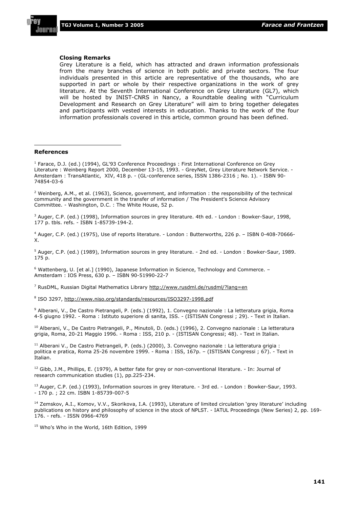

#### **Closing Remarks**

Grey Literature is a field, which has attracted and drawn information professionals from the many branches of science in both public and private sectors. The four individuals presented in this article are representative of the thousands, who are supported in part or whole by their respective organizations in the work of grey literature. At the Seventh International Conference on Grey Literature (GL7), which will be hosted by INIST-CNRS in Nancy, a Roundtable dealing with "Curriculum Development and Research on Grey Literature" will aim to bring together delegates and participants with vested interests in education. Thanks to the work of the four information professionals covered in this article, common ground has been defined.

#### **References**

<sup>1</sup> Farace, D.J. (ed.) (1994), GL'93 Conference Proceedings : First International Conference on Grey Literature : Weinberg Report 2000, December 13-15, 1993. - GreyNet, Grey Literature Network Service. - Amsterdam : TransAtlantic, XIV, 418 p. - (GL-conference series, ISSN 1386-2316 ; No. 1). - ISBN 90- 74854-03-6

<sup>2</sup> Weinberg, A.M., et al. (1963), Science, government, and information : the responsibility of the technical community and the government in the transfer of information / The President's Science Advisory Committee. - Washington, D.C. : The White House, 52 p.

<sup>3</sup> Auger, C.P. (ed.) (1998), Information sources in grey literature. 4th ed. - London : Bowker-Saur, 1998, 177 p. tbls. refs. - ISBN 1-85739-194-2.

4 Auger, C.P. (ed.) (1975), Use of reports literature. - London : Butterworths, 226 p. – ISBN 0-408-70666- X.

<sup>5</sup> Auger, C.P. (ed.) (1989), Information sources in grey literature. - 2nd ed. - London : Bowker-Saur, 1989. 175 p.

6 Wattenberg, U. [et al.] (1990), Japanese Information in Science, Technology and Commerce. – Amsterdam : IOS Press, 630 p. – ISBN 90-51990-22-7

<sup>7</sup> RusDML, Russian Digital Mathematics Library http://www.rusdml.de/rusdml/?lang=en

<sup>8</sup> ISO 3297, http://www.niso.org/standards/resources/ISO3297-1998.pdf

<sup>9</sup> Alberani, V., De Castro Pietrangeli, P. (eds.) (1992), 1. Convegno nazionale : La letteratura grigia, Roma 4-5 giugno 1992. - Roma : Istituto superiore di sanita, ISS. - (ISTISAN Congressi ; 29). - Text in Italian.

<sup>10</sup> Alberani, V., De Castro Pietrangeli, P., Minutoli, D. (eds.) (1996), 2. Convegno nazionale : La letteratura grigia, Roma, 20-21 Maggio 1996. - Roma : ISS, 210 p. - (ISTISAN Congressi; 48). - Text in Italian.

<sup>11</sup> Alberani V., De Castro Pietrangeli, P. (eds.) (2000), 3. Convegno nazionale : La letteratura grigia : politica e pratica, Roma 25-26 novembre 1999. - Roma : ISS, 167p. – (ISTISAN Congressi ; 67). - Text in Italian.

 $12$  Gibb, J.M., Phillips, E. (1979), A better fate for grey or non-conventional literature. - In: Journal of research communication studies (1), pp.225-234.

 $13$  Auger, C.P. (ed.) (1993), Information sources in grey literature. - 3rd ed. - London : Bowker-Saur, 1993. - 170 p. ; 22 cm. ISBN 1-85739-007-5

<sup>14</sup> Zemskov, A.I., Komov, V.V., Skorikova, I.A. (1993), Literature of limited circulation 'grey literature' including publications on history and philosophy of science in the stock of NPLST. - IATUL Proceedings (New Series) 2, pp. 169- 176. - refs. - ISSN 0966-4769

<sup>15</sup> Who's Who in the World, 16th Edition, 1999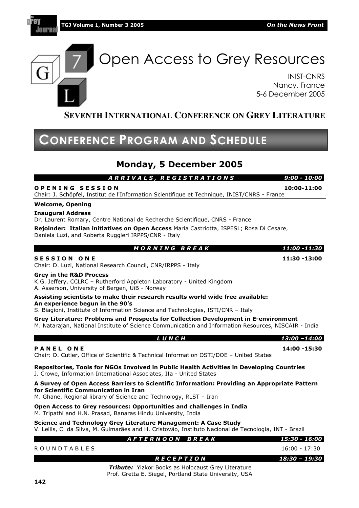

lawr

Open Access to Grey Resources

INIST-CNRS Nancy, France 5-6 December 2005

#### **SEVENTH INTERNATIONAL CONFERENCE ON GREY LITERATURE**

## **CONFERENCE PROGRAM AND SCHEDULE**

#### **Monday, 5 December 2005**

 *A R R I V A L S , R E G I S T R A T I O N S 9:00 - 10:00*  **O P E N I N G S E S S I O N 10:00-11:00** 

Chair: J. Schöpfel, Institut de l'Information Scientifique et Technique, INIST/CNRS - France

#### **Welcome, Opening**

**Inaugural Address**

Dr. Laurent Romary, Centre National de Recherche Scientifique, CNRS - France

**Rejoinder: Italian initiatives on Open Access** Maria Castriotta, ISPESL; Rosa Di Cesare, Daniela Luzi, and Roberta Ruggieri IRPPS/CNR - Italy

| <b>MORNING BREAK</b>                                                                                                                                                                                      | 11:00 -11:30 |
|-----------------------------------------------------------------------------------------------------------------------------------------------------------------------------------------------------------|--------------|
| <b>SESSION ONE</b><br>Chair: D. Luzi, National Research Council, CNR/IRPPS - Italy                                                                                                                        | 11:30 -13:00 |
| <b>Grey in the R&amp;D Process</b><br>K.G. Jeffery, CCLRC - Rutherford Appleton Laboratory - United Kingdom<br>A. Asserson, University of Bergen, UiB - Norway                                            |              |
| Assisting scientists to make their research results world wide free available:<br>An experience begun in the 90's<br>S. Biagioni, Institute of Information Science and Technologies, ISTI/CNR - Italy     |              |
| Grey Literature: Problems and Prospects for Collection Development in E-environment<br>M. Natarajan, National Institute of Science Communication and Information Resources, NISCAIR - India               |              |
| LUNCH                                                                                                                                                                                                     | 13:00 -14:00 |
| <b>PANEL ONE</b><br>Chair: D. Cutler, Office of Scientific & Technical Information OSTI/DOE - United States                                                                                               | 14:00 -15:30 |
| Repositories, Tools for NGOs Involved in Public Health Activities in Developing Countries<br>J. Crowe, Information International Associates, IIa - United States                                          |              |
| A Survey of Open Access Barriers to Scientific Information: Providing an Appropriate Pattern<br>for Scientific Communication in Iran<br>M. Ghane, Regional library of Science and Technology, RLST - Iran |              |
| Anna, Annan ta Anna nanarranna Annanturkina an d'aballanana in Tudis                                                                                                                                      |              |

**Open Access to Grey resources: Opportunities and challenges in India**  M. Tripathi and H.N. Prasad, Banaras Hindu University, India

**Science and Technology Grey Literature Management: A Case Study**  V. Lellis, C. da Silva, M. Guimarães and H. Cristovão, Instituto Nacional de Tecnologia, INT - Brazil

|                       | AFTERNOON BREAK                                                 | 15:30 - 16:00   |
|-----------------------|-----------------------------------------------------------------|-----------------|
| R O U N D T A B L E S |                                                                 | 16:00 - 17:30   |
|                       | RECEPTION                                                       | 18:30 – 19:30 I |
|                       | $\tau$ . Hence $\tau$ . We have Basic as Halasanat Cost Ham the |                 |

*Tribute:* Yizkor Books as Holocaust Grey Literature Prof. Gretta E. Siegel, Portland State University, USA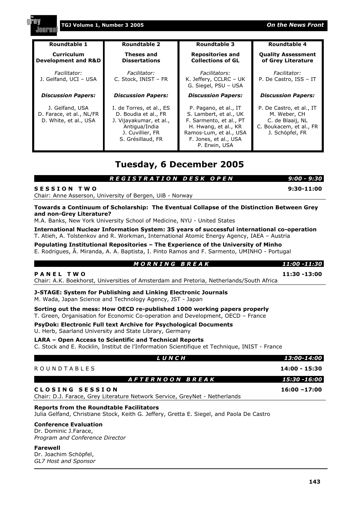| <b>Roundtable 1</b>                                                                                                                                                                              | <b>Roundtable 2</b>                                                                                                                   | <b>Roundtable 3</b>                                                                                                                                                    | <b>Roundtable 4</b>                                                                                        |
|--------------------------------------------------------------------------------------------------------------------------------------------------------------------------------------------------|---------------------------------------------------------------------------------------------------------------------------------------|------------------------------------------------------------------------------------------------------------------------------------------------------------------------|------------------------------------------------------------------------------------------------------------|
| <b>Curriculum</b><br><b>Development and R&amp;D</b>                                                                                                                                              | <b>Theses and</b><br><b>Dissertations</b>                                                                                             | <b>Repositories and</b><br><b>Collections of GL</b>                                                                                                                    | <b>Quality Assessment</b><br>of Grey Literature                                                            |
| Facilitator:<br>J. Gelfand, UCI - USA                                                                                                                                                            | Facilitator:<br>C. Stock, INIST - FR                                                                                                  | Facilitators:<br>K. Jeffery, CCLRC - UK<br>G. Siegel, PSU - USA                                                                                                        | Facilitator:<br>P. De Castro, ISS - IT                                                                     |
| <b>Discussion Papers:</b>                                                                                                                                                                        | <b>Discussion Papers:</b>                                                                                                             | <b>Discussion Papers:</b>                                                                                                                                              | <b>Discussion Papers:</b>                                                                                  |
| J. Gelfand, USA<br>D. Farace, et al., NL/FR<br>D. White, et al., USA                                                                                                                             | I. de Torres, et al., ES<br>D. Boudia et al., FR<br>J. Vijayakumar, et al.,<br>Antigua/India<br>J. Cuvillier, FR<br>S. Grésillaud, FR | P. Pagano, et al., IT<br>S. Lambert, et al., UK<br>F. Sarmento, et al., PT<br>H. Hwang, et al., KR<br>Ramos-Lum, et al., USA<br>F. Jones, et al., USA<br>P. Erwin, USA | P. De Castro, et al., IT<br>M. Weber, CH<br>C. de Blaaij, NL<br>C. Boukacem, et al., FR<br>J. Schöpfel, FR |
| <b>Tuesday, 6 December 2005</b><br>REGISTRATION DESK OPEN<br>$9:00 - 9:30$                                                                                                                       |                                                                                                                                       |                                                                                                                                                                        |                                                                                                            |
| <b>SESSION TWO</b>                                                                                                                                                                               | Chair: Anne Asserson, University of Bergen, UiB - Norway                                                                              |                                                                                                                                                                        | $9:30-11:00$                                                                                               |
| Towards a Continuum of Scholarship: The Eventual Collapse of the Distinction Between Grey<br>and non-Grey Literature?<br>M.A. Banks, New York University School of Medicine, NYU - United States |                                                                                                                                       |                                                                                                                                                                        |                                                                                                            |
| International Nuclear Information System: 35 years of successful international co-operation<br>T. Atieh, A. Tolstenkov and R. Workman, International Atomic Energy Agency, IAEA - Austria        |                                                                                                                                       |                                                                                                                                                                        |                                                                                                            |
| Populating Institutional Repositories - The Experience of the University of Minho<br>E. Rodrigues, Â. Miranda, A. A. Baptista, I. Pinto Ramos and F. Sarmento, UMINHO - Portugal                 |                                                                                                                                       |                                                                                                                                                                        |                                                                                                            |

#### *M O R N I N G B R E A K 11:00 -11:30*

**P A N E L T W O 11:30 -13:00** 

Chair: A.K. Boekhorst, Universities of Amsterdam and Pretoria, Netherlands/South Africa

**J-STAGE: System for Publishing and Linking Electronic Journals**  M. Wada, Japan Science and Technology Agency, JST - Japan

**Sorting out the mess: How OECD re-published 1000 working papers properly**  T. Green, Organisation for Economic Co-operation and Development, OECD – France

**PsyDok: Electronic Full text Archive for Psychological Documents**  U. Herb, Saarland University and State Library, Germany

#### **LARA – Open Access to Scientific and Technical Reports**

C. Stock and E. Rocklin, Institut de l'Information Scientifique et Technique, INIST - France

| LUNCH                                                                                         | 13:00-14:00     |
|-----------------------------------------------------------------------------------------------|-----------------|
| <b>ROUNDTABLES</b>                                                                            | 14:00 - 15:30   |
| AFTERNOON BREAK                                                                               | 15:30 -16:00    |
| CLOSING SESSION<br>Chair: D.J. Farace, Grey Literature Network Service, GreyNet - Netherlands | $16:00 - 17:00$ |

#### **Reports from the Roundtable Facilitators**

Julia Gelfand, Christiane Stock, Keith G. Jeffery, Gretta E. Siegel, and Paola De Castro

#### **Conference Evaluation**

Dr. Dominic J.Farace, *Program and Conference Director*

#### **Farewell**

Dr. Joachim Schöpfel, *GL7 Host and Sponsor* 

#### **TGJ Volume 1, Number 3 2005** *On the News Front*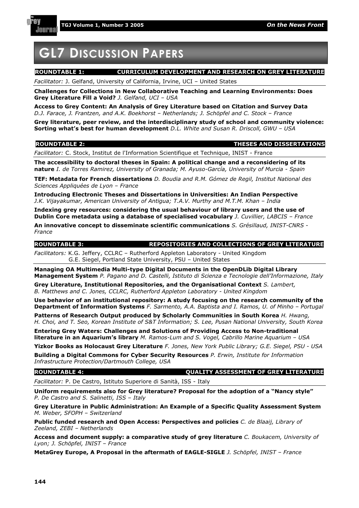

# **GL7 DISCUSSION PAPERS**

Journs

#### **ROUNDTABLE 1: CURRICULUM DEVELOPMENT AND RESEARCH ON GREY LITERATURE**

*Facilitator:* J. Gelfand, University of California, Irvine, UCI – United States

**Challenges for Collections in New Collaborative Teaching and Learning Environments: Does Grey Literature Fill a Void?** *J. Gelfand, UCI – USA*

**Access to Grey Content: An Analysis of Grey Literature based on Citation and Survey Data**  *D.J. Farace, J. Frantzen, and A.K. Boekhorst – Netherlands; J. Schöpfel and C. Stock – France* 

**Grey literature, peer review, and the interdisciplinary study of school and community violence: Sorting what's best for human development** *D.L. White and Susan R. Driscoll, GWU – USA* 

#### **ROUNDTABLE 2: THESES AND DISSERTATIONS**

*Facilitator:* C. Stock, Institut de l'Information Scientifique et Technique, INIST - France

**The accessibility to doctoral theses in Spain: A political change and a reconsidering of its nature** *I. de Torres Ramirez, University of Granada; M. Ayuso-García, University of Murcia - Spain* 

**TEF: Metadata for French dissertations** *D. Boudia and R.M. Gómez de Regil, Institut National des Sciences Appliquées de Lyon – France* 

**Introducing Electronic Theses and Dissertations in Universities: An Indian Perspective** *J.K. Vijayakumar, American University of Antigua; T.A.V. Murthy and M.T.M. Khan – India* 

**Indexing grey resources: considering the usual behaviour of library users and the use of Dublin Core metadata using a database of specialised vocabulary** *J. Cuvillier, LABCIS – France*  **An innovative concept to disseminate scientific communications** *S. Grésillaud, INIST-CNRS -* 

*France*

**ROUNDTABLE 3: REPOSITORIES AND COLLECTIONS OF GREY LITERATURE** 

*Facilitators:* K.G. Jeffery, CCLRC – Rutherford Appleton Laboratory - United Kingdom G.E. Siegel, Portland State University, PSU – United States

**Managing OA Multimedia Multi-type Digital Documents in the OpenDLib Digital Library Management System** *P. Pagano and D. Castelli, Istituto di Scienza e Tecnologie dell'Informazione, Italy*

**Grey Literature, Institutional Repositories, and the Organisational Context** *S. Lambert, B. Matthews and C. Jones, CCLRC, Rutherford Appleton Laboratory - United Kingdom*

**Use behavior of an institutional repository: A study focusing on the research community of the Department of Information Systems** *F. Sarmento, A.A. Baptista and I. Ramos, U. of Minho – Portugal*

**Patterns of Research Output produced by Scholarly Communities in South Korea** *H. Hwang, H. Choi, and T. Seo, Korean Institute of S&T Information; S. Lee, Pusan National University, South Korea* 

**Entering Grey Waters: Challenges and Solutions of Providing Access to Non-traditional literature in an Aquarium's library** *M. Ramos-Lum and S. Vogel, Cabrillo Marine Aquarium – USA* 

**Yizkor Books as Holocaust Grey Literature** *F. Jones, New York Public Library; G.E. Siegel, PSU - USA* **Building a Digital Commons for Cyber Security Resources** *P. Erwin, Institute for Information Infrastructure Protection/Dartmouth College, USA* 

#### **ROUNDTABLE 4: QUALITY ASSESSMENT OF GREY LITERATURE**

*Facilitator:* P. De Castro, Istituto Superiore di Sanità, ISS - Italy

**Uniform requirements also for Grey literature? Proposal for the adoption of a "Nancy style"**  *P. De Castro and S. Salinetti, ISS – Italy* 

**Grey Literature in Public Administration: An Example of a Specific Quality Assessment System** *M. Weber, SFOPH – Switzerland* 

**Public funded research and Open Access: Perspectives and policies** *C. de Blaaij, Library of Zeeland, ZEBI – Netherlands* 

**Access and document supply: a comparative study of grey literature** *C. Boukacem, University of Lyon; J. Schöpfel, INIST – France* 

**MetaGrey Europe, A Proposal in the aftermath of EAGLE-SIGLE** *J. Schöpfel, INIST – France*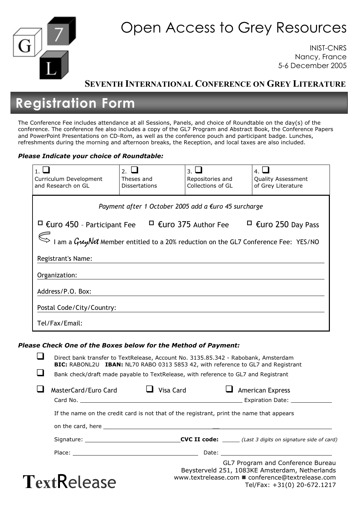

# Open Access to Grey Resources

INIST-CNRS Nancy, France 5-6 December 2005

Tel/Fax: +31(0) 20-672.1217

#### **SEVENTH INTERNATIONAL CONFERENCE ON GREY LITERATURE**

# **Registration Form**

The Conference Fee includes attendance at all Sessions, Panels, and choice of Roundtable on the day(s) of the conference. The conference fee also includes a copy of the GL7 Program and Abstract Book, the Conference Papers and PowerPoint Presentations on CD-Rom, as well as the conference pouch and participant badge. Lunches, refreshments during the morning and afternoon breaks, the Reception, and local taxes are also included.

#### *Please Indicate your choice of Roundtable:*

| Curriculum Development<br>and Research on GL                                               | 2. $\Box$<br>Theses and<br><b>Dissertations</b> | كا .3<br>Repositories and<br>Collections of GL | ـا .4<br><b>Quality Assessment</b><br>of Grey Literature |  |  |
|--------------------------------------------------------------------------------------------|-------------------------------------------------|------------------------------------------------|----------------------------------------------------------|--|--|
| Payment after 1 October 2005 add a €uro 45 surcharge                                       |                                                 |                                                |                                                          |  |  |
| €uro 450 - Participant Fee                                                                 |                                                 | €uro 375 Author Fee                            | €uro 250 Day Pass                                        |  |  |
| I am a <i>GreyNet</i> Member entitled to a 20% reduction on the GL7 Conference Fee: YES/NO |                                                 |                                                |                                                          |  |  |
| Registrant's Name:                                                                         |                                                 |                                                |                                                          |  |  |
| Organization:                                                                              |                                                 |                                                |                                                          |  |  |
| Address/P.O. Box:                                                                          |                                                 |                                                |                                                          |  |  |
| Postal Code/City/Country:                                                                  |                                                 |                                                |                                                          |  |  |
| Tel/Fax/Email:                                                                             |                                                 |                                                |                                                          |  |  |

#### *Please Check One of the Boxes below for the Method of Payment:*

Direct bank transfer to TextRelease, Account No. 3135.85.342 - Rabobank, Amsterdam **BIC:** RABONL2U **IBAN:** NL70 RABO 0313 5853 42, with reference to GL7 and Registrant Bank check/draft made payable to TextRelease, with reference to GL7 and Registrant Card No. Expiration Date: If the name on the credit card is not that of the registrant, print the name that appears on the card, here \_\_ Signature: **CVC II code:** \_\_\_\_\_ *(Last 3 digits on signature side of card)* Place: Date: GL7 Program and Conference Bureau Beysterveld 251, 1083KE Amsterdam, Netherlands www.textrelease.com ■ conference@textrelease.com  $\Box$  MasterCard/Euro Card  $\Box$  Visa Card  $\Box$  American Express

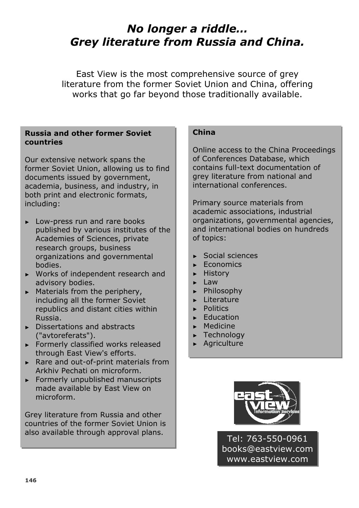# *No longer a riddle… Grey literature from Russia and China.*

East View is the most comprehensive source of grey literature from the former Soviet Union and China, offering works that go far beyond those traditionally available.

#### **Russia and other former Soviet countries**

Our extensive network spans the former Soviet Union, allowing us to find documents issued by government, academia, business, and industry, in both print and electronic formats, including:

- ► Low-press run and rare books published by various institutes of the Academies of Sciences, private research groups, business organizations and governmental bodies.
- ► Works of independent research and advisory bodies.
- $\blacktriangleright$  Materials from the periphery, including all the former Soviet republics and distant cities within Russia.
- $\blacktriangleright$  Dissertations and abstracts ("avtoreferats").
- $\blacktriangleright$  Formerly classified works released through East View's efforts.
- ► Rare and out-of-print materials from Arkhiv Pechati on microform.
- $\blacktriangleright$  Formerly unpublished manuscripts made available by East View on microform.

Grey literature from Russia and other countries of the former Soviet Union is also available through approval plans.

#### **China**

Online access to the China Proceedings of Conferences Database, which contains full-text documentation of grey literature from national and international conferences.

Primary source materials from academic associations, industrial organizations, governmental agencies, and international bodies on hundreds of topics:

- $\blacktriangleright$  Social sciences
- ► Economics
- ► History
- $\blacktriangleright$  Law
- <sup>ʇ</sup> Philosophy
- **Exerciture**
- <sup>ʇ</sup> Politics
- **Education**
- $\blacktriangleright$  Medicine
- **Exercise Technology**
- **Agriculture**



Tel: 763-550-0961 books@eastview.com www.eastview.com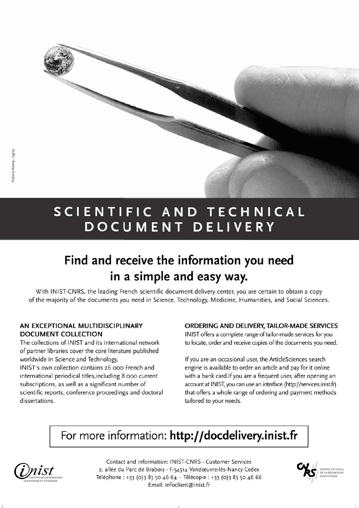

# SCIENTIFIC AND TECHNICAL DOCUMENT DELIVERY

# Find and receive the information you need in a simple and easy way.

With INIST-CNRS, the leading French scientific document delivery center, you are certain to obtain a copy of the majority of the documents you need in Science, Technology, Medicine, Humanities, and Social Sciences.

#### AN EXCEPTIONAL MULTIDISCIPLINARY **DOCUMENT COLLECTION**

The collections of INIST and its international network of partner libraries cover the core literature published worldwide in Science and Technology. INIST's own collection contains 26 000 French and international periodical titles, including 8 000 current subscriptions, as well as a significant number of scientific reports, conference proceedings and doctoral dissertations.

#### ORDERING AND DELIVERY, TAILOR-MADE SERVICES

INIST offers a complete range of tailor-made services for you to locate, order and receive copies of the documents you need.

If you are an occasional user, the ArticleSciences search engine is available to order an article and pay for it online with a bank card. If you are a frequent user, after opening an account at INIST, you can use an interface (http://services.inist.fr) that offers a whole range of ordering and payment methods tailored to your needs.

# For more information: http://docdelivery.inist.fr



Contact and information: INIST-CNRS - Customer Services 2, allée du Parc de Brabois - F-54514 Vandœuvre-lès-Nancy Cedex Téléphone : +33 (0)3 83 50 46 64 - Télécopie : +33 (0)3 83 50 46 66 Email: infoclient@inist.fr

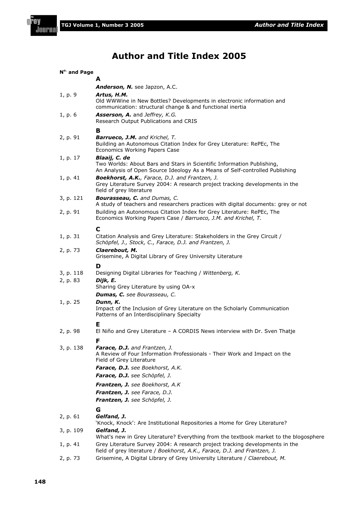#### **Author and Title Index 2005**

| N <sup>o.</sup> and Page |                                                                                                                                                                         |
|--------------------------|-------------------------------------------------------------------------------------------------------------------------------------------------------------------------|
|                          | А                                                                                                                                                                       |
|                          | Anderson, N. see Japzon, A.C.                                                                                                                                           |
| 1, p. 9                  | Artus, H.M.<br>Old WWWine in New Bottles? Developments in electronic information and<br>communication: structural change & and functional inertia                       |
| 1, p. 6                  | Asserson, A. and Jeffrey, K.G.<br>Research Output Publications and CRIS                                                                                                 |
|                          | в                                                                                                                                                                       |
| 2, p. 91                 | <b>Barrueco, J.M.</b> and Krichel, T.<br>Building an Autonomous Citation Index for Grey Literature: RePEc, The<br>Economics Working Papers Case                         |
| 1, p. 17                 | Blaaij, C. de<br>Two Worlds: About Bars and Stars in Scientific Information Publishing,<br>An Analysis of Open Source Ideology As a Means of Self-controlled Publishing |
| 1, p. 41                 | <b>Boekhorst, A.K.</b> , Farace, D.J. and Frantzen, J.<br>Grey Literature Survey 2004: A research project tracking developments in the<br>field of grey literature      |
| 3, p. 121                | <b>Bourasseau, C.</b> and Dumas, C.<br>A study of teachers and researchers practices with digital documents: grey or not                                                |
| 2, p. 91                 | Building an Autonomous Citation Index for Grey Literature: RePEc, The<br>Economics Working Papers Case / Barrueco, J.M. and Krichel, T.                                 |
|                          | C                                                                                                                                                                       |
| 1, p. 31                 | Citation Analysis and Grey Literature: Stakeholders in the Grey Circuit /<br>Schöpfel, J., Stock, C., Farace, D.J. and Frantzen, J.                                     |
| 2, p. 73                 | Claerebout, M.<br>Grisemine, A Digital Library of Grey University Literature                                                                                            |
|                          | D                                                                                                                                                                       |
| 3, p. 118                | Designing Digital Libraries for Teaching / Wittenberg, K.                                                                                                               |
| 2, p. 83                 | Dijk, E.<br>Sharing Grey Literature by using OA-x                                                                                                                       |
|                          | Dumas, C. see Bourasseau, C.                                                                                                                                            |
| 1, p. 25                 | Dunn, K.<br>Impact of the Inclusion of Grey Literature on the Scholarly Communication<br>Patterns of an Interdisciplinary Specialty                                     |
| 2, p. 98                 | Е<br>El Niño and Grey Literature – A CORDIS News interview with Dr. Sven Thatje                                                                                         |
|                          | F                                                                                                                                                                       |
| 3, p. 138                | <b>Farace, D.J.</b> and Frantzen, J.<br>A Review of Four Information Professionals - Their Work and Impact on the<br>Field of Grey Literature                           |
|                          | Farace, D.J. see Boekhorst, A.K.                                                                                                                                        |
|                          | Farace, D.J. see Schöpfel, J.                                                                                                                                           |
|                          | <b>Frantzen, J.</b> see Boekhorst, A.K<br>Frantzen, J. see Farace, D.J.                                                                                                 |
|                          | Frantzen, J. see Schöpfel, J.                                                                                                                                           |
|                          | G                                                                                                                                                                       |
| 2, p. 61                 | Gelfand, J.<br>'Knock, Knock': Are Institutional Repositories a Home for Grey Literature?                                                                               |
| 3, p. 109                | Gelfand, J.<br>What's new in Grey Literature? Everything from the textbook market to the blogosphere                                                                    |
| 1, p. 41                 | Grey Literature Survey 2004: A research project tracking developments in the<br>field of grey literature / Boekhorst, A.K., Farace, D.J. and Frantzen, J.               |
| 2, p. 73                 | Grisemine, A Digital Library of Grey University Literature / Claerebout, M.                                                                                             |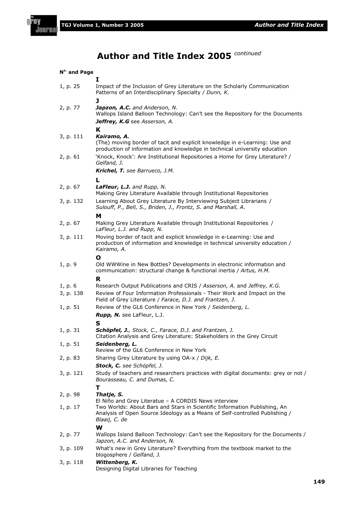f 'n٧

# **Author and Title Index 2005** *continued*

| N <sup>o.</sup> and Page |                                                                                                                                                                           |  |  |  |
|--------------------------|---------------------------------------------------------------------------------------------------------------------------------------------------------------------------|--|--|--|
|                          | 1                                                                                                                                                                         |  |  |  |
| 1, p. 25                 | Impact of the Inclusion of Grey Literature on the Scholarly Communication<br>Patterns of an Interdisciplinary Specialty / Dunn, K.                                        |  |  |  |
|                          | J                                                                                                                                                                         |  |  |  |
| 2, p. 77                 | Japzon, A.C. and Anderson, N.<br>Wallops Island Balloon Technology: Can't see the Repository for the Documents                                                            |  |  |  |
|                          | Jeffrey, K.G see Asserson, A.                                                                                                                                             |  |  |  |
|                          | K                                                                                                                                                                         |  |  |  |
| 3, p. 111                | Kairamo, A.<br>(The) moving border of tacit and explicit knowledge in e-Learning: Use and<br>production of information and knowledge in technical university education    |  |  |  |
| 2, p. 61                 | 'Knock, Knock': Are Institutional Repositories a Home for Grey Literature? /<br>Gelfand, J.                                                                               |  |  |  |
|                          | Krichel, T. see Barrueco, J.M.                                                                                                                                            |  |  |  |
|                          | L                                                                                                                                                                         |  |  |  |
| 2, p. 67                 | LaFleur, L.J. and Rupp, N.<br>Making Grey Literature Available through Institutional Repositories                                                                         |  |  |  |
| 3, p. 132                | Learning About Grey Literature By Interviewing Subject Librarians /                                                                                                       |  |  |  |
|                          | Sulouff, P., Bell, S., Briden, J., Frontz, S. and Marshall, A.                                                                                                            |  |  |  |
| 2, p. 67                 | M<br>Making Grey Literature Available through Institutional Repositories /                                                                                                |  |  |  |
|                          | LaFleur, L.J. and Rupp, N.                                                                                                                                                |  |  |  |
| 3, p. 111                | Moving border of tacit and explicit knowledge in e-Learning: Use and<br>production of information and knowledge in technical university education /<br>Kairamo, A.        |  |  |  |
|                          | Ο                                                                                                                                                                         |  |  |  |
| 1, p. 9                  | Old WWWine in New Bottles? Developments in electronic information and<br>communication: structural change & functional inertia / Artus, H.M.                              |  |  |  |
|                          | R                                                                                                                                                                         |  |  |  |
| 1, p. 6                  | Research Output Publications and CRIS / Asserson, A. and Jeffrey, K.G.                                                                                                    |  |  |  |
| 3, p. 138                | Review of Four Information Professionals - Their Work and Impact on the<br>Field of Grey Literature / Farace, D.J. and Frantzen, J.                                       |  |  |  |
| 1, p. 51                 | Review of the GL6 Conference in New York / Seidenberg, L.                                                                                                                 |  |  |  |
|                          | <b>Rupp, N.</b> see LaFleur, L.J.                                                                                                                                         |  |  |  |
|                          | s                                                                                                                                                                         |  |  |  |
| 1, p. 31                 | Schöpfel, J., Stock, C., Farace, D.J. and Frantzen, J.<br>Citation Analysis and Grey Literature: Stakeholders in the Grey Circuit                                         |  |  |  |
| 1, p. 51                 | Seidenberg, L.<br>Review of the GL6 Conference in New York                                                                                                                |  |  |  |
| 2, p. 83                 | Sharing Grey Literature by using OA-x / Dijk, E.                                                                                                                          |  |  |  |
|                          | Stock, C. see Schöpfel, J.                                                                                                                                                |  |  |  |
| 3, p. 121                | Study of teachers and researchers practices with digital documents: grey or not /<br>Bourasseau, C. and Dumas, C.                                                         |  |  |  |
|                          | т                                                                                                                                                                         |  |  |  |
| 2, p. 98                 | Thatje, S.<br>El Niño and Grey Literatue - A CORDIS News interview                                                                                                        |  |  |  |
| 1, p. 17                 | Two Worlds: About Bars and Stars in Scientific Information Publishing, An<br>Analysis of Open Source Ideology as a Means of Self-controlled Publishing /<br>Blaaij, C. de |  |  |  |
|                          | W                                                                                                                                                                         |  |  |  |
| 2, p. 77                 | Wallops Island Balloon Technology: Can't see the Repository for the Documents /<br>Japzon, A.C. and Anderson, N.                                                          |  |  |  |
| 3, p. 109                | What's new in Grey Literature? Everything from the textbook market to the<br>blogosphere / Gelfand, J.                                                                    |  |  |  |
| 3, p. 118                | Wittenberg, K.<br>Designing Digital Libraries for Teaching                                                                                                                |  |  |  |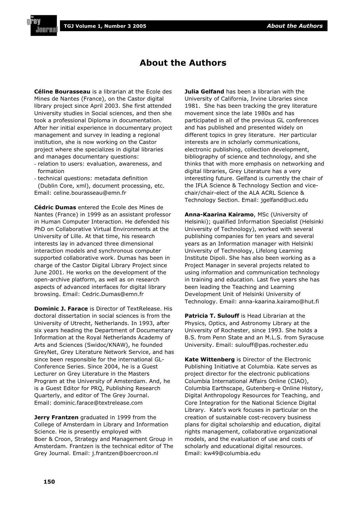#### **About the Authors**

**Céline Bourasseau** is a librarian at the Ecole des Mines de Nantes (France), on the Castor digital library project since April 2003. She first attended University studies in Social sciences, and then she took a professional Diploma in documentation. After her initial experience in documentary project management and survey in leading a regional institution, she is now working on the Castor project where she specializes in digital libraries and manages documentary questions:

- relation to users: evaluation, awareness, and formation

- technical questions: metadata definition (Dublin Core, xml), document processing, etc. Email: celine.bourasseau@emn.fr

**Cédric Dumas** entered the Ecole des Mines de Nantes (France) in 1999 as an assistant professor in Human Computer Interaction. He defended his PhD on Collaborative Virtual Environments at the University of Lille. At that time, his research interests lay in advanced three dimensional interaction models and synchronous computer supported collaborative work. Dumas has been in charge of the Castor Digital Library Project since June 2001. He works on the development of the open-archive platform, as well as on research aspects of advanced interfaces for digital library browsing. Email: Cedric.Dumas@emn.fr

**Dominic J. Farace** is Director of TextRelease. His doctoral dissertation in social sciences is from the University of Utrecht, Netherlands. In 1993, after six years heading the Department of Documentary Information at the Royal Netherlands Academy of Arts and Sciences (Swidoc/KNAW), he founded GreyNet, Grey Literature Network Service, and has since been responsible for the international GL-Conference Series. Since 2004, he is a Guest Lecturer on Grey Literature in the Masters Program at the University of Amsterdam. And, he is a Guest Editor for PRQ, Publishing Research Quarterly, and editor of The Grey Journal. Email: dominic.farace@textrelease.com

**Jerry Frantzen** graduated in 1999 from the College of Amsterdam in Library and Information Science. He is presently employed with Boer & Croon, Strategy and Management Group in Amsterdam. Frantzen is the technical editor of The Grey Journal. Email: j.frantzen@boercroon.nl

**Julia Gelfand** has been a librarian with the University of California, Irvine Libraries since 1981. She has been tracking the grey literature movement since the late 1980s and has participated in all of the previous GL conferences and has published and presented widely on different topics in grey literature. Her particular interests are in scholarly communications, electronic publishing, collection development, bibliography of science and technology, and she thinks that with more emphasis on networking and digital libraries, Grey Literature has a very interesting future. Gelfand is currently the chair of the IFLA Science & Technology Section and vicechair/chair-elect of the ALA ACRL Science & Technology Section. Email: jgelfand@uci.edu

**Anna-Kaarina Kairamo**, MSc (University of Helsinki); qualified Information Specialist (Helsinki University of Technology), worked with several publishing companies for ten years and several years as an Information manager with Helsinki University of Technology, Lifelong Learning Institute Dipoli. She has also been working as a Project Manager in several projects related to using information and communication technology in training and education. Last five years she has been leading the Teaching and Learning Development Unit of Helsinki University of Technology. Email: anna-kaarina.kairamo@hut.fi

**Patricia T. Sulouff** is Head Librarian at the Physics, Optics, and Astronomy Library at the University of Rochester, since 1993. She holds a B.S. from Penn State and an M.L.S. from Syracuse University. Email: sulouff@pas.rochester.edu

**Kate Wittenberg** is Director of the Electronic Publishing Initiative at Columbia. Kate serves as project director for the electronic publications Columbia International Affairs Online (CIAO), Columbia Earthscape, Gutenberg-e Online History, Digital Anthropology Resources for Teaching, and Core Integration for the National Science Digital Library. Kate's work focuses in particular on the creation of sustainable cost-recovery business plans for digital scholarship and education, digital rights management, collaborative organizational models, and the evaluation of use and costs of scholarly and educational digital resources. Email: kw49@columbia.edu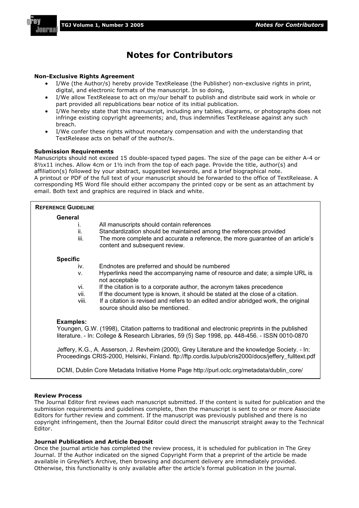

#### **Notes for Contributors**

#### **Non-Exclusive Rights Agreement**

- I/We (the Author/s) hereby provide TextRelease (the Publisher) non-exclusive rights in print, digital, and electronic formats of the manuscript. In so doing,
- I/We allow TextRelease to act on my/our behalf to publish and distribute said work in whole or part provided all republications bear notice of its initial publication.
- I/We hereby state that this manuscript, including any tables, diagrams, or photographs does not infringe existing copyright agreements; and, thus indemnifies TextRelease against any such breach.
- I/We confer these rights without monetary compensation and with the understanding that TextRelease acts on behalf of the author/s.

#### **Submission Requirements**

Manuscripts should not exceed 15 double-spaced typed pages. The size of the page can be either A-4 or 8½x11 inches. Allow 4cm or 1½ inch from the top of each page. Provide the title, author(s) and affiliation(s) followed by your abstract, suggested keywords, and a brief biographical note. A printout or PDF of the full text of your manuscript should be forwarded to the office of TextRelease. A corresponding MS Word file should either accompany the printed copy or be sent as an attachment by email. Both text and graphics are required in black and white.

| <b>REFERENCE GUIDELINE</b>   |                                                                                                                                                                                                                                     |
|------------------------------|-------------------------------------------------------------------------------------------------------------------------------------------------------------------------------------------------------------------------------------|
| General<br>Τ.<br>ii.<br>iii. | All manuscripts should contain references<br>Standardization should be maintained among the references provided<br>The more complete and accurate a reference, the more guarantee of an article's<br>content and subsequent review. |
| <b>Specific</b>              |                                                                                                                                                                                                                                     |
| iv.                          | Endnotes are preferred and should be numbered                                                                                                                                                                                       |
| v.                           | Hyperlinks need the accompanying name of resource and date; a simple URL is<br>not acceptable                                                                                                                                       |
| vi.                          | If the citation is to a corporate author, the acronym takes precedence                                                                                                                                                              |
| vii.                         | If the document type is known, it should be stated at the close of a citation.                                                                                                                                                      |
| viii.                        | If a citation is revised and refers to an edited and/or abridged work, the original<br>source should also be mentioned.                                                                                                             |
| <b>Examples:</b>             |                                                                                                                                                                                                                                     |
|                              | Youngen, G.W. (1998), Citation patterns to traditional and electronic preprints in the published<br>literature. - In: College & Research Libraries, 59 (5) Sep 1998, pp. 448-456. - ISSN 0010-0870                                  |
|                              | Jeffery, K.G., A. Asserson, J. Revheim (2000), Grey Literature and the knowledge Society. - In:<br>Proceedings CRIS-2000, Helsinki, Finland. ftp://ftp.cordis.lu/pub/cris2000/docs/jeffery_fulltext.pdf                             |
|                              | DCMI, Dublin Core Metadata Initiative Home Page http://purl.oclc.org/metadata/dublin_core/                                                                                                                                          |

#### **Review Process**

The Journal Editor first reviews each manuscript submitted. If the content is suited for publication and the submission requirements and guidelines complete, then the manuscript is sent to one or more Associate Editors for further review and comment. If the manuscript was previously published and there is no copyright infringement, then the Journal Editor could direct the manuscript straight away to the Technical Editor.

#### **Journal Publication and Article Deposit**

Once the journal article has completed the review process, it is scheduled for publication in The Grey Journal. If the Author indicated on the signed Copyright Form that a preprint of the article be made available in GreyNet's Archive, then browsing and document delivery are immediately provided. Otherwise, this functionality is only available after the article's formal publication in the journal.